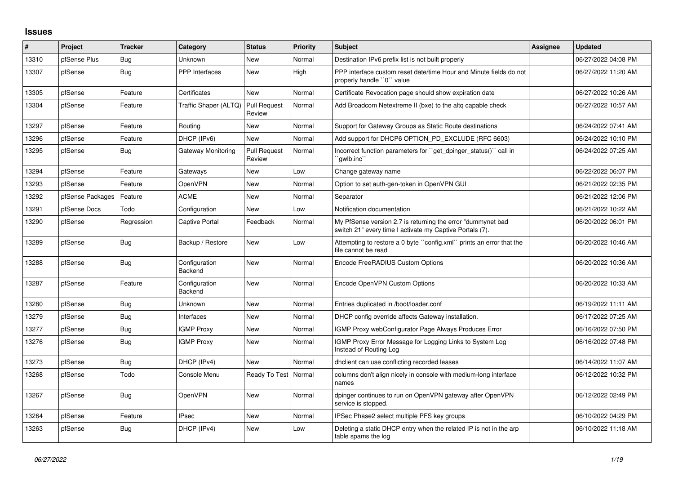## **Issues**

| #     | Project          | <b>Tracker</b> | Category                 | <b>Status</b>                 | <b>Priority</b> | <b>Subject</b>                                                                                                          | <b>Assignee</b> | <b>Updated</b>      |
|-------|------------------|----------------|--------------------------|-------------------------------|-----------------|-------------------------------------------------------------------------------------------------------------------------|-----------------|---------------------|
| 13310 | pfSense Plus     | Bug            | Unknown                  | New                           | Normal          | Destination IPv6 prefix list is not built properly                                                                      |                 | 06/27/2022 04:08 PM |
| 13307 | pfSense          | Bug            | <b>PPP</b> Interfaces    | <b>New</b>                    | High            | PPP interface custom reset date/time Hour and Minute fields do not<br>properly handle "0" value                         |                 | 06/27/2022 11:20 AM |
| 13305 | pfSense          | Feature        | Certificates             | <b>New</b>                    | Normal          | Certificate Revocation page should show expiration date                                                                 |                 | 06/27/2022 10:26 AM |
| 13304 | pfSense          | Feature        | Traffic Shaper (ALTQ)    | <b>Pull Request</b><br>Review | Normal          | Add Broadcom Netextreme II (bxe) to the altg capable check                                                              |                 | 06/27/2022 10:57 AM |
| 13297 | pfSense          | Feature        | Routing                  | <b>New</b>                    | Normal          | Support for Gateway Groups as Static Route destinations                                                                 |                 | 06/24/2022 07:41 AM |
| 13296 | pfSense          | Feature        | DHCP (IPv6)              | <b>New</b>                    | Normal          | Add support for DHCP6 OPTION PD EXCLUDE (RFC 6603)                                                                      |                 | 06/24/2022 10:10 PM |
| 13295 | pfSense          | Bug            | Gateway Monitoring       | <b>Pull Request</b><br>Review | Normal          | Incorrect function parameters for "get dpinger status()" call in<br>`qwlb.inc`                                          |                 | 06/24/2022 07:25 AM |
| 13294 | pfSense          | Feature        | Gateways                 | New                           | Low             | Change gateway name                                                                                                     |                 | 06/22/2022 06:07 PM |
| 13293 | pfSense          | Feature        | OpenVPN                  | <b>New</b>                    | Normal          | Option to set auth-gen-token in OpenVPN GUI                                                                             |                 | 06/21/2022 02:35 PM |
| 13292 | pfSense Packages | Feature        | <b>ACME</b>              | <b>New</b>                    | Normal          | Separator                                                                                                               |                 | 06/21/2022 12:06 PM |
| 13291 | pfSense Docs     | Todo           | Configuration            | <b>New</b>                    | Low             | Notification documentation                                                                                              |                 | 06/21/2022 10:22 AM |
| 13290 | pfSense          | Regression     | <b>Captive Portal</b>    | Feedback                      | Normal          | My PfSense version 2.7 is returning the error "dummynet bad<br>switch 21" every time I activate my Captive Portals (7). |                 | 06/20/2022 06:01 PM |
| 13289 | pfSense          | Bug            | Backup / Restore         | <b>New</b>                    | Low             | Attempting to restore a 0 byte "config.xml" prints an error that the<br>file cannot be read                             |                 | 06/20/2022 10:46 AM |
| 13288 | pfSense          | Bug            | Configuration<br>Backend | <b>New</b>                    | Normal          | Encode FreeRADIUS Custom Options                                                                                        |                 | 06/20/2022 10:36 AM |
| 13287 | pfSense          | Feature        | Configuration<br>Backend | <b>New</b>                    | Normal          | Encode OpenVPN Custom Options                                                                                           |                 | 06/20/2022 10:33 AM |
| 13280 | pfSense          | Bug            | Unknown                  | <b>New</b>                    | Normal          | Entries duplicated in /boot/loader.conf                                                                                 |                 | 06/19/2022 11:11 AM |
| 13279 | pfSense          | Bug            | Interfaces               | <b>New</b>                    | Normal          | DHCP config override affects Gateway installation.                                                                      |                 | 06/17/2022 07:25 AM |
| 13277 | pfSense          | Bug            | <b>IGMP Proxy</b>        | <b>New</b>                    | Normal          | IGMP Proxy webConfigurator Page Always Produces Error                                                                   |                 | 06/16/2022 07:50 PM |
| 13276 | pfSense          | <b>Bug</b>     | <b>IGMP Proxy</b>        | <b>New</b>                    | Normal          | IGMP Proxy Error Message for Logging Links to System Log<br>Instead of Routing Log                                      |                 | 06/16/2022 07:48 PM |
| 13273 | pfSense          | Bug            | DHCP (IPv4)              | <b>New</b>                    | Normal          | dhclient can use conflicting recorded leases                                                                            |                 | 06/14/2022 11:07 AM |
| 13268 | pfSense          | Todo           | Console Menu             | Ready To Test   Normal        |                 | columns don't align nicely in console with medium-long interface<br>names                                               |                 | 06/12/2022 10:32 PM |
| 13267 | pfSense          | <b>Bug</b>     | <b>OpenVPN</b>           | <b>New</b>                    | Normal          | dpinger continues to run on OpenVPN gateway after OpenVPN<br>service is stopped.                                        |                 | 06/12/2022 02:49 PM |
| 13264 | pfSense          | Feature        | <b>IPsec</b>             | <b>New</b>                    | Normal          | IPSec Phase2 select multiple PFS key groups                                                                             |                 | 06/10/2022 04:29 PM |
| 13263 | pfSense          | Bug            | DHCP (IPv4)              | <b>New</b>                    | Low             | Deleting a static DHCP entry when the related IP is not in the arp<br>table spams the log                               |                 | 06/10/2022 11:18 AM |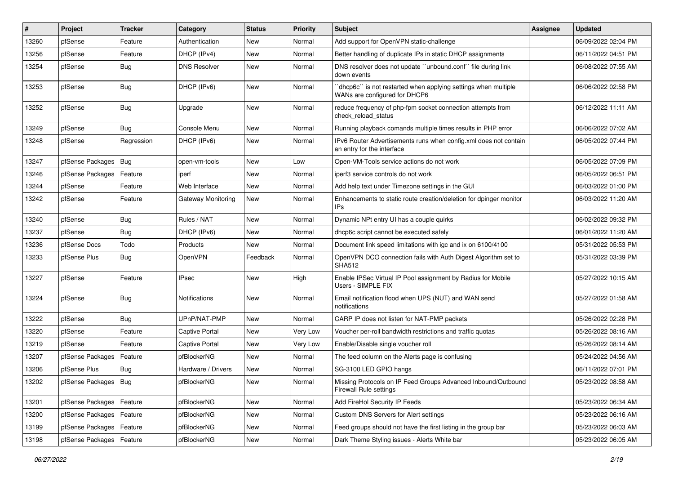| ∦     | Project                | <b>Tracker</b> | Category             | <b>Status</b> | <b>Priority</b> | Subject                                                                                          | <b>Assignee</b> | <b>Updated</b>      |
|-------|------------------------|----------------|----------------------|---------------|-----------------|--------------------------------------------------------------------------------------------------|-----------------|---------------------|
| 13260 | pfSense                | Feature        | Authentication       | New           | Normal          | Add support for OpenVPN static-challenge                                                         |                 | 06/09/2022 02:04 PM |
| 13256 | pfSense                | Feature        | DHCP (IPv4)          | New           | Normal          | Better handling of duplicate IPs in static DHCP assignments                                      |                 | 06/11/2022 04:51 PM |
| 13254 | pfSense                | Bug            | <b>DNS Resolver</b>  | New           | Normal          | DNS resolver does not update "unbound.conf" file during link<br>down events                      |                 | 06/08/2022 07:55 AM |
| 13253 | pfSense                | Bug            | DHCP (IPv6)          | <b>New</b>    | Normal          | 'dhcp6c'' is not restarted when applying settings when multiple<br>WANs are configured for DHCP6 |                 | 06/06/2022 02:58 PM |
| 13252 | pfSense                | Bug            | Upgrade              | New           | Normal          | reduce frequency of php-fpm socket connection attempts from<br>check reload status               |                 | 06/12/2022 11:11 AM |
| 13249 | pfSense                | Bug            | Console Menu         | New           | Normal          | Running playback comands multiple times results in PHP error                                     |                 | 06/06/2022 07:02 AM |
| 13248 | pfSense                | Regression     | DHCP (IPv6)          | New           | Normal          | IPv6 Router Advertisements runs when config.xml does not contain<br>an entry for the interface   |                 | 06/05/2022 07:44 PM |
| 13247 | pfSense Packages       | Bug            | open-vm-tools        | New           | Low             | Open-VM-Tools service actions do not work                                                        |                 | 06/05/2022 07:09 PM |
| 13246 | pfSense Packages       | Feature        | iperf                | New           | Normal          | iperf3 service controls do not work                                                              |                 | 06/05/2022 06:51 PM |
| 13244 | pfSense                | Feature        | Web Interface        | New           | Normal          | Add help text under Timezone settings in the GUI                                                 |                 | 06/03/2022 01:00 PM |
| 13242 | pfSense                | Feature        | Gateway Monitoring   | New           | Normal          | Enhancements to static route creation/deletion for dpinger monitor<br>IPs                        |                 | 06/03/2022 11:20 AM |
| 13240 | pfSense                | Bug            | Rules / NAT          | New           | Normal          | Dynamic NPt entry UI has a couple quirks                                                         |                 | 06/02/2022 09:32 PM |
| 13237 | pfSense                | Bug            | DHCP (IPv6)          | New           | Normal          | dhcp6c script cannot be executed safely                                                          |                 | 06/01/2022 11:20 AM |
| 13236 | pfSense Docs           | Todo           | Products             | <b>New</b>    | Normal          | Document link speed limitations with igc and ix on 6100/4100                                     |                 | 05/31/2022 05:53 PM |
| 13233 | pfSense Plus           | Bug            | OpenVPN              | Feedback      | Normal          | OpenVPN DCO connection fails with Auth Digest Algorithm set to<br><b>SHA512</b>                  |                 | 05/31/2022 03:39 PM |
| 13227 | pfSense                | Feature        | <b>IPsec</b>         | New           | High            | Enable IPSec Virtual IP Pool assignment by Radius for Mobile<br>Users - SIMPLE FIX               |                 | 05/27/2022 10:15 AM |
| 13224 | pfSense                | Bug            | <b>Notifications</b> | <b>New</b>    | Normal          | Email notification flood when UPS (NUT) and WAN send<br>notifications                            |                 | 05/27/2022 01:58 AM |
| 13222 | pfSense                | Bug            | UPnP/NAT-PMP         | New           | Normal          | CARP IP does not listen for NAT-PMP packets                                                      |                 | 05/26/2022 02:28 PM |
| 13220 | pfSense                | Feature        | Captive Portal       | <b>New</b>    | Very Low        | Voucher per-roll bandwidth restrictions and traffic quotas                                       |                 | 05/26/2022 08:16 AM |
| 13219 | pfSense                | Feature        | Captive Portal       | New           | Very Low        | Enable/Disable single voucher roll                                                               |                 | 05/26/2022 08:14 AM |
| 13207 | pfSense Packages       | Feature        | pfBlockerNG          | <b>New</b>    | Normal          | The feed column on the Alerts page is confusing                                                  |                 | 05/24/2022 04:56 AM |
| 13206 | pfSense Plus           | Bug            | Hardware / Drivers   | New           | Normal          | SG-3100 LED GPIO hangs                                                                           |                 | 06/11/2022 07:01 PM |
| 13202 | pfSense Packages   Bug |                | pfBlockerNG          | New           | Normal          | Missing Protocols on IP Feed Groups Advanced Inbound/Outbound<br>Firewall Rule settings          |                 | 05/23/2022 08:58 AM |
| 13201 | pfSense Packages       | Feature        | pfBlockerNG          | New           | Normal          | Add FireHol Security IP Feeds                                                                    |                 | 05/23/2022 06:34 AM |
| 13200 | pfSense Packages       | Feature        | pfBlockerNG          | New           | Normal          | Custom DNS Servers for Alert settings                                                            |                 | 05/23/2022 06:16 AM |
| 13199 | pfSense Packages       | Feature        | pfBlockerNG          | New           | Normal          | Feed groups should not have the first listing in the group bar                                   |                 | 05/23/2022 06:03 AM |
| 13198 | pfSense Packages       | Feature        | pfBlockerNG          | New           | Normal          | Dark Theme Styling issues - Alerts White bar                                                     |                 | 05/23/2022 06:05 AM |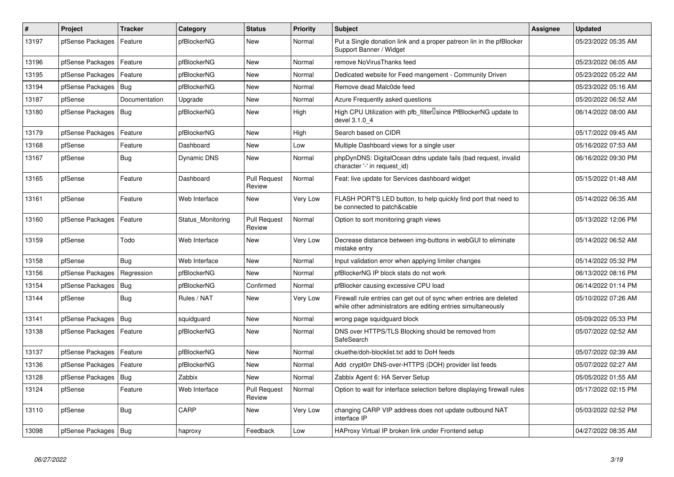| #     | <b>Project</b>         | <b>Tracker</b> | Category           | <b>Status</b>                 | <b>Priority</b> | <b>Subject</b>                                                                                                                      | Assignee | <b>Updated</b>      |
|-------|------------------------|----------------|--------------------|-------------------------------|-----------------|-------------------------------------------------------------------------------------------------------------------------------------|----------|---------------------|
| 13197 | pfSense Packages       | Feature        | pfBlockerNG        | <b>New</b>                    | Normal          | Put a Single donation link and a proper patreon lin in the pfBlocker<br>Support Banner / Widget                                     |          | 05/23/2022 05:35 AM |
| 13196 | pfSense Packages       | Feature        | pfBlockerNG        | New                           | Normal          | remove NoVirusThanks feed                                                                                                           |          | 05/23/2022 06:05 AM |
| 13195 | pfSense Packages       | Feature        | pfBlockerNG        | <b>New</b>                    | Normal          | Dedicated website for Feed mangement - Community Driven                                                                             |          | 05/23/2022 05:22 AM |
| 13194 | pfSense Packages       | Bug            | pfBlockerNG        | <b>New</b>                    | Normal          | Remove dead Malc0de feed                                                                                                            |          | 05/23/2022 05:16 AM |
| 13187 | pfSense                | Documentation  | Upgrade            | <b>New</b>                    | Normal          | Azure Frequently asked questions                                                                                                    |          | 05/20/2022 06:52 AM |
| 13180 | pfSense Packages       | <b>Bug</b>     | pfBlockerNG        | <b>New</b>                    | High            | High CPU Utilization with pfb_filter <sup>[]</sup> since PfBlockerNG update to<br>devel 3.1.0 4                                     |          | 06/14/2022 08:00 AM |
| 13179 | pfSense Packages       | Feature        | pfBlockerNG        | <b>New</b>                    | High            | Search based on CIDR                                                                                                                |          | 05/17/2022 09:45 AM |
| 13168 | pfSense                | Feature        | Dashboard          | <b>New</b>                    | Low             | Multiple Dashboard views for a single user                                                                                          |          | 05/16/2022 07:53 AM |
| 13167 | pfSense                | Bug            | <b>Dynamic DNS</b> | <b>New</b>                    | Normal          | phpDynDNS: DigitalOcean ddns update fails (bad request, invalid<br>character '-' in request id)                                     |          | 06/16/2022 09:30 PM |
| 13165 | pfSense                | Feature        | Dashboard          | <b>Pull Request</b><br>Review | Normal          | Feat: live update for Services dashboard widget                                                                                     |          | 05/15/2022 01:48 AM |
| 13161 | pfSense                | Feature        | Web Interface      | <b>New</b>                    | Very Low        | FLASH PORT'S LED button, to help quickly find port that need to<br>be connected to patch&cable                                      |          | 05/14/2022 06:35 AM |
| 13160 | pfSense Packages       | Feature        | Status_Monitoring  | <b>Pull Request</b><br>Review | Normal          | Option to sort monitoring graph views                                                                                               |          | 05/13/2022 12:06 PM |
| 13159 | pfSense                | Todo           | Web Interface      | New                           | Very Low        | Decrease distance between img-buttons in webGUI to eliminate<br>mistake entry                                                       |          | 05/14/2022 06:52 AM |
| 13158 | pfSense                | Bug            | Web Interface      | <b>New</b>                    | Normal          | Input validation error when applying limiter changes                                                                                |          | 05/14/2022 05:32 PM |
| 13156 | pfSense Packages       | Regression     | pfBlockerNG        | <b>New</b>                    | Normal          | pfBlockerNG IP block stats do not work                                                                                              |          | 06/13/2022 08:16 PM |
| 13154 | pfSense Packages       | Bug            | pfBlockerNG        | Confirmed                     | Normal          | pfBlocker causing excessive CPU load                                                                                                |          | 06/14/2022 01:14 PM |
| 13144 | pfSense                | <b>Bug</b>     | Rules / NAT        | <b>New</b>                    | Very Low        | Firewall rule entries can get out of sync when entries are deleted<br>while other administrators are editing entries simultaneously |          | 05/10/2022 07:26 AM |
| 13141 | pfSense Packages       | Bug            | squidguard         | <b>New</b>                    | Normal          | wrong page squidguard block                                                                                                         |          | 05/09/2022 05:33 PM |
| 13138 | pfSense Packages       | Feature        | pfBlockerNG        | <b>New</b>                    | Normal          | DNS over HTTPS/TLS Blocking should be removed from<br>SafeSearch                                                                    |          | 05/07/2022 02:52 AM |
| 13137 | pfSense Packages       | Feature        | pfBlockerNG        | New                           | Normal          | ckuethe/doh-blocklist.txt add to DoH feeds                                                                                          |          | 05/07/2022 02:39 AM |
| 13136 | pfSense Packages       | Feature        | pfBlockerNG        | <b>New</b>                    | Normal          | Add crypt0rr DNS-over-HTTPS (DOH) provider list feeds                                                                               |          | 05/07/2022 02:27 AM |
| 13128 | pfSense Packages       | Bug            | Zabbix             | New                           | Normal          | Zabbix Agent 6: HA Server Setup                                                                                                     |          | 05/05/2022 01:55 AM |
| 13124 | pfSense                | Feature        | Web Interface      | <b>Pull Request</b><br>Review | Normal          | Option to wait for interface selection before displaying firewall rules                                                             |          | 05/17/2022 02:15 PM |
| 13110 | pfSense                | Bug            | CARP               | New                           | Very Low        | changing CARP VIP address does not update outbound NAT<br>interface IP                                                              |          | 05/03/2022 02:52 PM |
| 13098 | pfSense Packages   Bug |                | haproxy            | Feedback                      | Low             | HAProxy Virtual IP broken link under Frontend setup                                                                                 |          | 04/27/2022 08:35 AM |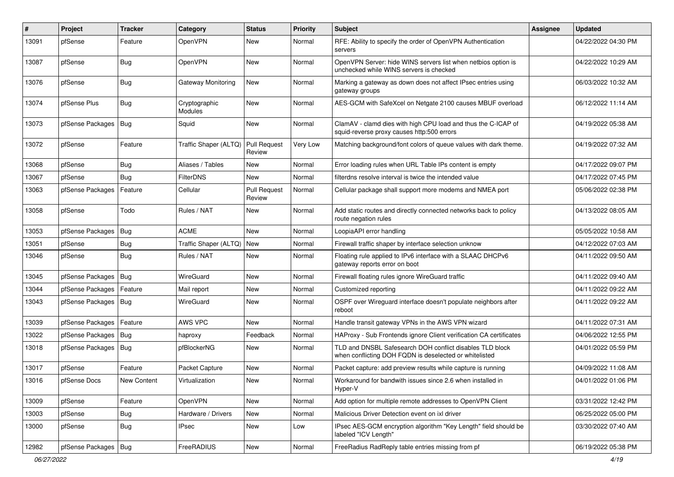| ∦     | Project                | <b>Tracker</b> | Category                 | <b>Status</b>                 | <b>Priority</b> | <b>Subject</b>                                                                                                     | Assignee | <b>Updated</b>      |
|-------|------------------------|----------------|--------------------------|-------------------------------|-----------------|--------------------------------------------------------------------------------------------------------------------|----------|---------------------|
| 13091 | pfSense                | Feature        | OpenVPN                  | New                           | Normal          | RFE: Ability to specify the order of OpenVPN Authentication<br>servers                                             |          | 04/22/2022 04:30 PM |
| 13087 | pfSense                | Bug            | OpenVPN                  | New                           | Normal          | OpenVPN Server: hide WINS servers list when netbios option is<br>unchecked while WINS servers is checked           |          | 04/22/2022 10:29 AM |
| 13076 | pfSense                | Bug            | Gateway Monitoring       | New                           | Normal          | Marking a gateway as down does not affect IPsec entries using<br>gateway groups                                    |          | 06/03/2022 10:32 AM |
| 13074 | pfSense Plus           | Bug            | Cryptographic<br>Modules | New                           | Normal          | AES-GCM with SafeXcel on Netgate 2100 causes MBUF overload                                                         |          | 06/12/2022 11:14 AM |
| 13073 | pfSense Packages       | <b>Bug</b>     | Squid                    | New                           | Normal          | ClamAV - clamd dies with high CPU load and thus the C-ICAP of<br>squid-reverse proxy causes http:500 errors        |          | 04/19/2022 05:38 AM |
| 13072 | pfSense                | Feature        | Traffic Shaper (ALTQ)    | <b>Pull Request</b><br>Review | Very Low        | Matching background/font colors of queue values with dark theme.                                                   |          | 04/19/2022 07:32 AM |
| 13068 | pfSense                | <b>Bug</b>     | Aliases / Tables         | New                           | Normal          | Error loading rules when URL Table IPs content is empty                                                            |          | 04/17/2022 09:07 PM |
| 13067 | pfSense                | Bug            | <b>FilterDNS</b>         | New                           | Normal          | filterdns resolve interval is twice the intended value                                                             |          | 04/17/2022 07:45 PM |
| 13063 | pfSense Packages       | Feature        | Cellular                 | <b>Pull Request</b><br>Review | Normal          | Cellular package shall support more modems and NMEA port                                                           |          | 05/06/2022 02:38 PM |
| 13058 | pfSense                | Todo           | Rules / NAT              | New                           | Normal          | Add static routes and directly connected networks back to policy<br>route negation rules                           |          | 04/13/2022 08:05 AM |
| 13053 | pfSense Packages       | <b>Bug</b>     | <b>ACME</b>              | <b>New</b>                    | Normal          | LoopiaAPI error handling                                                                                           |          | 05/05/2022 10:58 AM |
| 13051 | pfSense                | Bug            | Traffic Shaper (ALTQ)    | New                           | Normal          | Firewall traffic shaper by interface selection unknow                                                              |          | 04/12/2022 07:03 AM |
| 13046 | pfSense                | Bug            | Rules / NAT              | New                           | Normal          | Floating rule applied to IPv6 interface with a SLAAC DHCPv6<br>gateway reports error on boot                       |          | 04/11/2022 09:50 AM |
| 13045 | pfSense Packages   Bug |                | WireGuard                | <b>New</b>                    | Normal          | Firewall floating rules ignore WireGuard traffic                                                                   |          | 04/11/2022 09:40 AM |
| 13044 | pfSense Packages       | Feature        | Mail report              | <b>New</b>                    | Normal          | Customized reporting                                                                                               |          | 04/11/2022 09:22 AM |
| 13043 | pfSense Packages       | Bug            | WireGuard                | New                           | Normal          | OSPF over Wireguard interface doesn't populate neighbors after<br>reboot                                           |          | 04/11/2022 09:22 AM |
| 13039 | pfSense Packages       | Feature        | AWS VPC                  | <b>New</b>                    | Normal          | Handle transit gateway VPNs in the AWS VPN wizard                                                                  |          | 04/11/2022 07:31 AM |
| 13022 | pfSense Packages   Bug |                | haproxy                  | Feedback                      | Normal          | HAProxy - Sub Frontends ignore Client verification CA certificates                                                 |          | 04/06/2022 12:55 PM |
| 13018 | pfSense Packages   Bug |                | pfBlockerNG              | New                           | Normal          | TLD and DNSBL Safesearch DOH conflict disables TLD block<br>when conflicting DOH FQDN is deselected or whitelisted |          | 04/01/2022 05:59 PM |
| 13017 | pfSense                | Feature        | Packet Capture           | New                           | Normal          | Packet capture: add preview results while capture is running                                                       |          | 04/09/2022 11:08 AM |
| 13016 | pfSense Docs           | New Content    | Virtualization           | New                           | Normal          | Workaround for bandwith issues since 2.6 when installed in<br>Hyper-V                                              |          | 04/01/2022 01:06 PM |
| 13009 | pfSense                | Feature        | OpenVPN                  | New                           | Normal          | Add option for multiple remote addresses to OpenVPN Client                                                         |          | 03/31/2022 12:42 PM |
| 13003 | pfSense                | <b>Bug</b>     | Hardware / Drivers       | New                           | Normal          | Malicious Driver Detection event on ixl driver                                                                     |          | 06/25/2022 05:00 PM |
| 13000 | pfSense                | <b>Bug</b>     | <b>IPsec</b>             | New                           | Low             | IPsec AES-GCM encryption algorithm "Key Length" field should be<br>labeled "ICV Length"                            |          | 03/30/2022 07:40 AM |
| 12982 | pfSense Packages   Bug |                | FreeRADIUS               | New                           | Normal          | FreeRadius RadReply table entries missing from pf                                                                  |          | 06/19/2022 05:38 PM |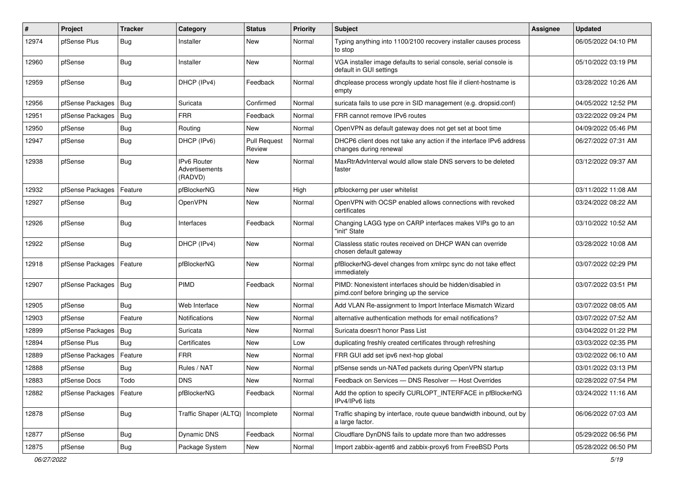| ∦     | Project                | <b>Tracker</b> | Category                                        | <b>Status</b>                 | <b>Priority</b> | <b>Subject</b>                                                                                        | Assignee | <b>Updated</b>      |
|-------|------------------------|----------------|-------------------------------------------------|-------------------------------|-----------------|-------------------------------------------------------------------------------------------------------|----------|---------------------|
| 12974 | pfSense Plus           | Bug            | Installer                                       | New                           | Normal          | Typing anything into 1100/2100 recovery installer causes process<br>to stop                           |          | 06/05/2022 04:10 PM |
| 12960 | pfSense                | Bug            | Installer                                       | New                           | Normal          | VGA installer image defaults to serial console, serial console is<br>default in GUI settings          |          | 05/10/2022 03:19 PM |
| 12959 | pfSense                | Bug            | DHCP (IPv4)                                     | Feedback                      | Normal          | dhcplease process wrongly update host file if client-hostname is<br>empty                             |          | 03/28/2022 10:26 AM |
| 12956 | pfSense Packages       | Bug            | Suricata                                        | Confirmed                     | Normal          | suricata fails to use pcre in SID management (e.g. dropsid.conf)                                      |          | 04/05/2022 12:52 PM |
| 12951 | pfSense Packages       | Bug            | <b>FRR</b>                                      | Feedback                      | Normal          | FRR cannot remove IPv6 routes                                                                         |          | 03/22/2022 09:24 PM |
| 12950 | pfSense                | Bug            | Routing                                         | New                           | Normal          | OpenVPN as default gateway does not get set at boot time                                              |          | 04/09/2022 05:46 PM |
| 12947 | pfSense                | Bug            | DHCP (IPv6)                                     | <b>Pull Request</b><br>Review | Normal          | DHCP6 client does not take any action if the interface IPv6 address<br>changes during renewal         |          | 06/27/2022 07:31 AM |
| 12938 | pfSense                | Bug            | <b>IPv6 Router</b><br>Advertisements<br>(RADVD) | New                           | Normal          | MaxRtrAdvInterval would allow stale DNS servers to be deleted<br>faster                               |          | 03/12/2022 09:37 AM |
| 12932 | pfSense Packages       | Feature        | pfBlockerNG                                     | New                           | High            | pfblockerng per user whitelist                                                                        |          | 03/11/2022 11:08 AM |
| 12927 | pfSense                | Bug            | OpenVPN                                         | New                           | Normal          | OpenVPN with OCSP enabled allows connections with revoked<br>certificates                             |          | 03/24/2022 08:22 AM |
| 12926 | pfSense                | Bug            | Interfaces                                      | Feedback                      | Normal          | Changing LAGG type on CARP interfaces makes VIPs go to an<br>"init" State                             |          | 03/10/2022 10:52 AM |
| 12922 | pfSense                | Bug            | DHCP (IPv4)                                     | New                           | Normal          | Classless static routes received on DHCP WAN can override<br>chosen default gateway                   |          | 03/28/2022 10:08 AM |
| 12918 | pfSense Packages       | Feature        | pfBlockerNG                                     | New                           | Normal          | pfBlockerNG-devel changes from xmlrpc sync do not take effect<br>immediately                          |          | 03/07/2022 02:29 PM |
| 12907 | pfSense Packages   Bug |                | <b>PIMD</b>                                     | Feedback                      | Normal          | PIMD: Nonexistent interfaces should be hidden/disabled in<br>pimd.conf before bringing up the service |          | 03/07/2022 03:51 PM |
| 12905 | pfSense                | Bug            | Web Interface                                   | New                           | Normal          | Add VLAN Re-assignment to Import Interface Mismatch Wizard                                            |          | 03/07/2022 08:05 AM |
| 12903 | pfSense                | Feature        | Notifications                                   | New                           | Normal          | alternative authentication methods for email notifications?                                           |          | 03/07/2022 07:52 AM |
| 12899 | pfSense Packages       | Bug            | Suricata                                        | New                           | Normal          | Suricata doesn't honor Pass List                                                                      |          | 03/04/2022 01:22 PM |
| 12894 | pfSense Plus           | Bug            | Certificates                                    | New                           | Low             | duplicating freshly created certificates through refreshing                                           |          | 03/03/2022 02:35 PM |
| 12889 | pfSense Packages       | Feature        | <b>FRR</b>                                      | New                           | Normal          | FRR GUI add set ipv6 next-hop global                                                                  |          | 03/02/2022 06:10 AM |
| 12888 | pfSense                | Bug            | Rules / NAT                                     | New                           | Normal          | pfSense sends un-NATed packets during OpenVPN startup                                                 |          | 03/01/2022 03:13 PM |
| 12883 | pfSense Docs           | Todo           | <b>DNS</b>                                      | New                           | Normal          | Feedback on Services - DNS Resolver - Host Overrides                                                  |          | 02/28/2022 07:54 PM |
| 12882 | pfSense Packages       | Feature        | pfBlockerNG                                     | Feedback                      | Normal          | Add the option to specify CURLOPT_INTERFACE in pfBlockerNG<br>IPv4/IPv6 lists                         |          | 03/24/2022 11:16 AM |
| 12878 | pfSense                | <b>Bug</b>     | Traffic Shaper (ALTQ)                           | Incomplete                    | Normal          | Traffic shaping by interface, route queue bandwidth inbound, out by<br>a large factor.                |          | 06/06/2022 07:03 AM |
| 12877 | pfSense                | <b>Bug</b>     | Dynamic DNS                                     | Feedback                      | Normal          | Cloudflare DynDNS fails to update more than two addresses                                             |          | 05/29/2022 06:56 PM |
| 12875 | pfSense                | Bug            | Package System                                  | New                           | Normal          | Import zabbix-agent6 and zabbix-proxy6 from FreeBSD Ports                                             |          | 05/28/2022 06:50 PM |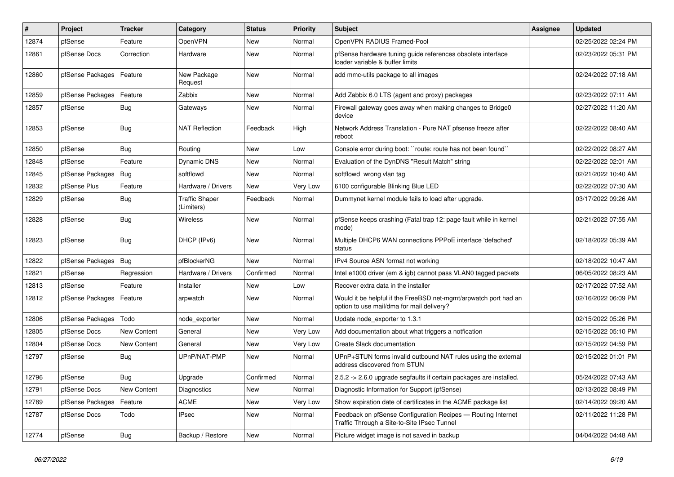| #     | Project          | <b>Tracker</b> | Category                            | <b>Status</b> | <b>Priority</b> | <b>Subject</b>                                                                                                | <b>Assignee</b> | <b>Updated</b>      |
|-------|------------------|----------------|-------------------------------------|---------------|-----------------|---------------------------------------------------------------------------------------------------------------|-----------------|---------------------|
| 12874 | pfSense          | Feature        | OpenVPN                             | New           | Normal          | OpenVPN RADIUS Framed-Pool                                                                                    |                 | 02/25/2022 02:24 PM |
| 12861 | pfSense Docs     | Correction     | Hardware                            | <b>New</b>    | Normal          | pfSense hardware tuning guide references obsolete interface<br>loader variable & buffer limits                |                 | 02/23/2022 05:31 PM |
| 12860 | pfSense Packages | Feature        | New Package<br>Request              | <b>New</b>    | Normal          | add mmc-utils package to all images                                                                           |                 | 02/24/2022 07:18 AM |
| 12859 | pfSense Packages | Feature        | Zabbix                              | New           | Normal          | Add Zabbix 6.0 LTS (agent and proxy) packages                                                                 |                 | 02/23/2022 07:11 AM |
| 12857 | pfSense          | <b>Bug</b>     | Gateways                            | <b>New</b>    | Normal          | Firewall gateway goes away when making changes to Bridge0<br>device                                           |                 | 02/27/2022 11:20 AM |
| 12853 | pfSense          | Bug            | <b>NAT Reflection</b>               | Feedback      | High            | Network Address Translation - Pure NAT pfsense freeze after<br>reboot                                         |                 | 02/22/2022 08:40 AM |
| 12850 | pfSense          | <b>Bug</b>     | Routing                             | New           | Low             | Console error during boot: "route: route has not been found"                                                  |                 | 02/22/2022 08:27 AM |
| 12848 | pfSense          | Feature        | Dynamic DNS                         | New           | Normal          | Evaluation of the DynDNS "Result Match" string                                                                |                 | 02/22/2022 02:01 AM |
| 12845 | pfSense Packages | <b>Bug</b>     | softflowd                           | <b>New</b>    | Normal          | softflowd wrong vlan tag                                                                                      |                 | 02/21/2022 10:40 AM |
| 12832 | pfSense Plus     | Feature        | Hardware / Drivers                  | New           | Very Low        | 6100 configurable Blinking Blue LED                                                                           |                 | 02/22/2022 07:30 AM |
| 12829 | pfSense          | <b>Bug</b>     | <b>Traffic Shaper</b><br>(Limiters) | Feedback      | Normal          | Dummynet kernel module fails to load after upgrade.                                                           |                 | 03/17/2022 09:26 AM |
| 12828 | pfSense          | Bug            | Wireless                            | New           | Normal          | pfSense keeps crashing (Fatal trap 12: page fault while in kernel<br>mode)                                    |                 | 02/21/2022 07:55 AM |
| 12823 | pfSense          | Bug            | DHCP (IPv6)                         | <b>New</b>    | Normal          | Multiple DHCP6 WAN connections PPPoE interface 'defached'<br>status                                           |                 | 02/18/2022 05:39 AM |
| 12822 | pfSense Packages | Bug            | pfBlockerNG                         | <b>New</b>    | Normal          | IPv4 Source ASN format not working                                                                            |                 | 02/18/2022 10:47 AM |
| 12821 | pfSense          | Regression     | Hardware / Drivers                  | Confirmed     | Normal          | Intel e1000 driver (em & igb) cannot pass VLAN0 tagged packets                                                |                 | 06/05/2022 08:23 AM |
| 12813 | pfSense          | Feature        | Installer                           | <b>New</b>    | Low             | Recover extra data in the installer                                                                           |                 | 02/17/2022 07:52 AM |
| 12812 | pfSense Packages | Feature        | arpwatch                            | <b>New</b>    | Normal          | Would it be helpful if the FreeBSD net-mgmt/arpwatch port had an<br>option to use mail/dma for mail delivery? |                 | 02/16/2022 06:09 PM |
| 12806 | pfSense Packages | Todo           | node exporter                       | <b>New</b>    | Normal          | Update node_exporter to 1.3.1                                                                                 |                 | 02/15/2022 05:26 PM |
| 12805 | pfSense Docs     | New Content    | General                             | <b>New</b>    | Very Low        | Add documentation about what triggers a notfication                                                           |                 | 02/15/2022 05:10 PM |
| 12804 | pfSense Docs     | New Content    | General                             | New           | Very Low        | Create Slack documentation                                                                                    |                 | 02/15/2022 04:59 PM |
| 12797 | pfSense          | Bug            | UPnP/NAT-PMP                        | <b>New</b>    | Normal          | UPnP+STUN forms invalid outbound NAT rules using the external<br>address discovered from STUN                 |                 | 02/15/2022 01:01 PM |
| 12796 | pfSense          | <b>Bug</b>     | Upgrade                             | Confirmed     | Normal          | 2.5.2 -> 2.6.0 upgrade segfaults if certain packages are installed.                                           |                 | 05/24/2022 07:43 AM |
| 12791 | pfSense Docs     | New Content    | Diagnostics                         | New           | Normal          | Diagnostic Information for Support (pfSense)                                                                  |                 | 02/13/2022 08:49 PM |
| 12789 | pfSense Packages | Feature        | ACME                                | New           | Very Low        | Show expiration date of certificates in the ACME package list                                                 |                 | 02/14/2022 09:20 AM |
| 12787 | pfSense Docs     | Todo           | <b>IPsec</b>                        | New           | Normal          | Feedback on pfSense Configuration Recipes - Routing Internet<br>Traffic Through a Site-to-Site IPsec Tunnel   |                 | 02/11/2022 11:28 PM |
| 12774 | pfSense          | Bug            | Backup / Restore                    | New           | Normal          | Picture widget image is not saved in backup                                                                   |                 | 04/04/2022 04:48 AM |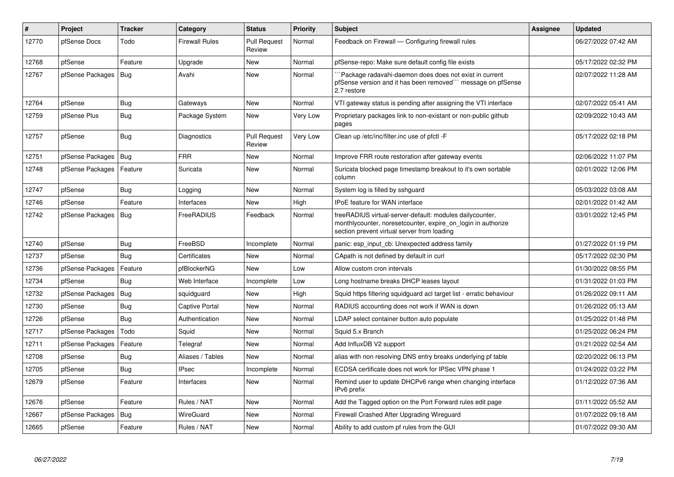| #     | Project          | <b>Tracker</b> | Category              | <b>Status</b>                 | Priority | <b>Subject</b>                                                                                                                                                          | <b>Assignee</b> | <b>Updated</b>      |
|-------|------------------|----------------|-----------------------|-------------------------------|----------|-------------------------------------------------------------------------------------------------------------------------------------------------------------------------|-----------------|---------------------|
| 12770 | pfSense Docs     | Todo           | <b>Firewall Rules</b> | <b>Pull Request</b><br>Review | Normal   | Feedback on Firewall - Configuring firewall rules                                                                                                                       |                 | 06/27/2022 07:42 AM |
| 12768 | pfSense          | Feature        | Upgrade               | <b>New</b>                    | Normal   | pfSense-repo: Make sure default config file exists                                                                                                                      |                 | 05/17/2022 02:32 PM |
| 12767 | pfSense Packages | Bug            | Avahi                 | <b>New</b>                    | Normal   | `Package radavahi-daemon does does not exist in current<br>pfSense version and it has been removed" message on pfSense<br>2.7 restore                                   |                 | 02/07/2022 11:28 AM |
| 12764 | pfSense          | <b>Bug</b>     | Gateways              | <b>New</b>                    | Normal   | VTI gateway status is pending after assigning the VTI interface                                                                                                         |                 | 02/07/2022 05:41 AM |
| 12759 | pfSense Plus     | <b>Bug</b>     | Package System        | <b>New</b>                    | Very Low | Proprietary packages link to non-existant or non-public github<br>pages                                                                                                 |                 | 02/09/2022 10:43 AM |
| 12757 | pfSense          | <b>Bug</b>     | Diagnostics           | <b>Pull Request</b><br>Review | Very Low | Clean up /etc/inc/filter.inc use of pfctl -F                                                                                                                            |                 | 05/17/2022 02:18 PM |
| 12751 | pfSense Packages | Bug            | <b>FRR</b>            | <b>New</b>                    | Normal   | Improve FRR route restoration after gateway events                                                                                                                      |                 | 02/06/2022 11:07 PM |
| 12748 | pfSense Packages | Feature        | Suricata              | <b>New</b>                    | Normal   | Suricata blocked page timestamp breakout to it's own sortable<br>column                                                                                                 |                 | 02/01/2022 12:06 PM |
| 12747 | pfSense          | <b>Bug</b>     | Logging               | <b>New</b>                    | Normal   | System log is filled by sshguard                                                                                                                                        |                 | 05/03/2022 03:08 AM |
| 12746 | pfSense          | Feature        | Interfaces            | <b>New</b>                    | High     | IPoE feature for WAN interface                                                                                                                                          |                 | 02/01/2022 01:42 AM |
| 12742 | pfSense Packages | Bug            | FreeRADIUS            | Feedback                      | Normal   | freeRADIUS virtual-server-default: modules dailycounter,<br>monthlycounter, noresetcounter, expire on login in authorize<br>section prevent virtual server from loading |                 | 03/01/2022 12:45 PM |
| 12740 | pfSense          | Bug            | FreeBSD               | Incomplete                    | Normal   | panic: esp input cb: Unexpected address family                                                                                                                          |                 | 01/27/2022 01:19 PM |
| 12737 | pfSense          | Bug            | Certificates          | New                           | Normal   | CApath is not defined by default in curl                                                                                                                                |                 | 05/17/2022 02:30 PM |
| 12736 | pfSense Packages | Feature        | pfBlockerNG           | <b>New</b>                    | Low      | Allow custom cron intervals                                                                                                                                             |                 | 01/30/2022 08:55 PM |
| 12734 | pfSense          | Bug            | Web Interface         | Incomplete                    | Low      | Long hostname breaks DHCP leases layout                                                                                                                                 |                 | 01/31/2022 01:03 PM |
| 12732 | pfSense Packages | <b>Bug</b>     | squidguard            | New                           | High     | Squid https filtering squidguard acl target list - erratic behaviour                                                                                                    |                 | 01/26/2022 09:11 AM |
| 12730 | pfSense          | <b>Bug</b>     | Captive Portal        | <b>New</b>                    | Normal   | RADIUS accounting does not work if WAN is down                                                                                                                          |                 | 01/26/2022 05:13 AM |
| 12726 | pfSense          | <b>Bug</b>     | Authentication        | <b>New</b>                    | Normal   | LDAP select container button auto populate                                                                                                                              |                 | 01/25/2022 01:48 PM |
| 12717 | pfSense Packages | Todo           | Squid                 | New                           | Normal   | Squid 5.x Branch                                                                                                                                                        |                 | 01/25/2022 06:24 PM |
| 12711 | pfSense Packages | Feature        | Telegraf              | <b>New</b>                    | Normal   | Add InfluxDB V2 support                                                                                                                                                 |                 | 01/21/2022 02:54 AM |
| 12708 | pfSense          | <b>Bug</b>     | Aliases / Tables      | <b>New</b>                    | Normal   | alias with non resolving DNS entry breaks underlying pf table                                                                                                           |                 | 02/20/2022 06:13 PM |
| 12705 | pfSense          | Bug            | <b>IPsec</b>          | Incomplete                    | Normal   | ECDSA certificate does not work for IPSec VPN phase 1                                                                                                                   |                 | 01/24/2022 03:22 PM |
| 12679 | pfSense          | Feature        | Interfaces            | New                           | Normal   | Remind user to update DHCPv6 range when changing interface<br>IPv6 prefix                                                                                               |                 | 01/12/2022 07:36 AM |
| 12676 | pfSense          | Feature        | Rules / NAT           | <b>New</b>                    | Normal   | Add the Tagged option on the Port Forward rules edit page                                                                                                               |                 | 01/11/2022 05:52 AM |
| 12667 | pfSense Packages | Bug            | WireGuard             | New                           | Normal   | Firewall Crashed After Upgrading Wireguard                                                                                                                              |                 | 01/07/2022 09:18 AM |
| 12665 | pfSense          | Feature        | Rules / NAT           | <b>New</b>                    | Normal   | Ability to add custom pf rules from the GUI                                                                                                                             |                 | 01/07/2022 09:30 AM |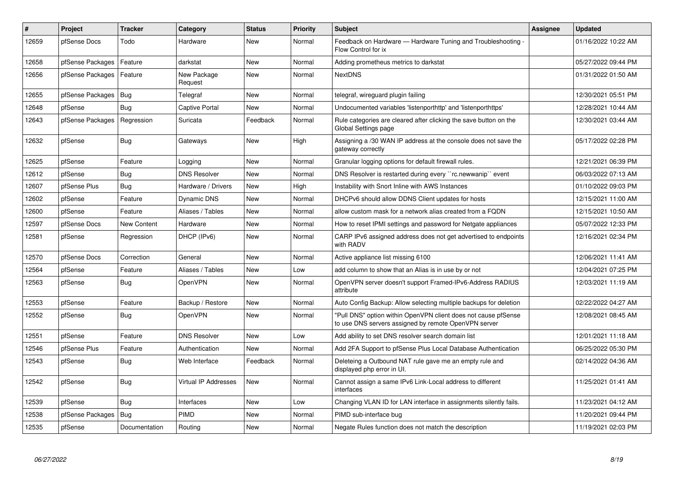| $\sharp$ | <b>Project</b>   | <b>Tracker</b> | Category                    | <b>Status</b> | <b>Priority</b> | <b>Subject</b>                                                                                                         | <b>Assignee</b> | <b>Updated</b>      |
|----------|------------------|----------------|-----------------------------|---------------|-----------------|------------------------------------------------------------------------------------------------------------------------|-----------------|---------------------|
| 12659    | pfSense Docs     | Todo           | Hardware                    | <b>New</b>    | Normal          | Feedback on Hardware - Hardware Tuning and Troubleshooting -<br>Flow Control for ix                                    |                 | 01/16/2022 10:22 AM |
| 12658    | pfSense Packages | Feature        | darkstat                    | <b>New</b>    | Normal          | Adding prometheus metrics to darkstat                                                                                  |                 | 05/27/2022 09:44 PM |
| 12656    | pfSense Packages | Feature        | New Package<br>Request      | <b>New</b>    | Normal          | <b>NextDNS</b>                                                                                                         |                 | 01/31/2022 01:50 AM |
| 12655    | pfSense Packages | Bug            | Telegraf                    | <b>New</b>    | Normal          | telegraf, wireguard plugin failing                                                                                     |                 | 12/30/2021 05:51 PM |
| 12648    | pfSense          | Bug            | Captive Portal              | <b>New</b>    | Normal          | Undocumented variables 'listenporthttp' and 'listenporthttps'                                                          |                 | 12/28/2021 10:44 AM |
| 12643    | pfSense Packages | Regression     | Suricata                    | Feedback      | Normal          | Rule categories are cleared after clicking the save button on the<br>Global Settings page                              |                 | 12/30/2021 03:44 AM |
| 12632    | pfSense          | Bug            | Gateways                    | <b>New</b>    | High            | Assigning a /30 WAN IP address at the console does not save the<br>gateway correctly                                   |                 | 05/17/2022 02:28 PM |
| 12625    | pfSense          | Feature        | Logging                     | <b>New</b>    | Normal          | Granular logging options for default firewall rules.                                                                   |                 | 12/21/2021 06:39 PM |
| 12612    | pfSense          | Bug            | <b>DNS Resolver</b>         | <b>New</b>    | Normal          | DNS Resolver is restarted during every "rc.newwanip" event                                                             |                 | 06/03/2022 07:13 AM |
| 12607    | pfSense Plus     | Bug            | Hardware / Drivers          | <b>New</b>    | High            | Instability with Snort Inline with AWS Instances                                                                       |                 | 01/10/2022 09:03 PM |
| 12602    | pfSense          | Feature        | Dynamic DNS                 | New           | Normal          | DHCPv6 should allow DDNS Client updates for hosts                                                                      |                 | 12/15/2021 11:00 AM |
| 12600    | pfSense          | Feature        | Aliases / Tables            | <b>New</b>    | Normal          | allow custom mask for a network alias created from a FQDN                                                              |                 | 12/15/2021 10:50 AM |
| 12597    | pfSense Docs     | New Content    | Hardware                    | <b>New</b>    | Normal          | How to reset IPMI settings and password for Netgate appliances                                                         |                 | 05/07/2022 12:33 PM |
| 12581    | pfSense          | Regression     | DHCP (IPv6)                 | New           | Normal          | CARP IPv6 assigned address does not get advertised to endpoints<br>with RADV                                           |                 | 12/16/2021 02:34 PM |
| 12570    | pfSense Docs     | Correction     | General                     | <b>New</b>    | Normal          | Active appliance list missing 6100                                                                                     |                 | 12/06/2021 11:41 AM |
| 12564    | pfSense          | Feature        | Aliases / Tables            | New           | Low             | add column to show that an Alias is in use by or not                                                                   |                 | 12/04/2021 07:25 PM |
| 12563    | pfSense          | Bug            | <b>OpenVPN</b>              | New           | Normal          | OpenVPN server doesn't support Framed-IPv6-Address RADIUS<br>attribute                                                 |                 | 12/03/2021 11:19 AM |
| 12553    | pfSense          | Feature        | Backup / Restore            | New           | Normal          | Auto Config Backup: Allow selecting multiple backups for deletion                                                      |                 | 02/22/2022 04:27 AM |
| 12552    | pfSense          | <b>Bug</b>     | <b>OpenVPN</b>              | New           | Normal          | "Pull DNS" option within OpenVPN client does not cause pfSense<br>to use DNS servers assigned by remote OpenVPN server |                 | 12/08/2021 08:45 AM |
| 12551    | pfSense          | Feature        | <b>DNS Resolver</b>         | <b>New</b>    | Low             | Add ability to set DNS resolver search domain list                                                                     |                 | 12/01/2021 11:18 AM |
| 12546    | pfSense Plus     | Feature        | Authentication              | <b>New</b>    | Normal          | Add 2FA Support to pfSense Plus Local Database Authentication                                                          |                 | 06/25/2022 05:30 PM |
| 12543    | pfSense          | Bug            | Web Interface               | Feedback      | Normal          | Deleteing a Outbound NAT rule gave me an empty rule and<br>displayed php error in UI.                                  |                 | 02/14/2022 04:36 AM |
| 12542    | pfSense          | Bug            | <b>Virtual IP Addresses</b> | New           | Normal          | Cannot assign a same IPv6 Link-Local address to different<br>interfaces                                                |                 | 11/25/2021 01:41 AM |
| 12539    | pfSense          | <b>Bug</b>     | Interfaces                  | <b>New</b>    | Low             | Changing VLAN ID for LAN interface in assignments silently fails.                                                      |                 | 11/23/2021 04:12 AM |
| 12538    | pfSense Packages | Bug            | <b>PIMD</b>                 | New           | Normal          | PIMD sub-interface bug                                                                                                 |                 | 11/20/2021 09:44 PM |
| 12535    | pfSense          | Documentation  | Routing                     | <b>New</b>    | Normal          | Negate Rules function does not match the description                                                                   |                 | 11/19/2021 02:03 PM |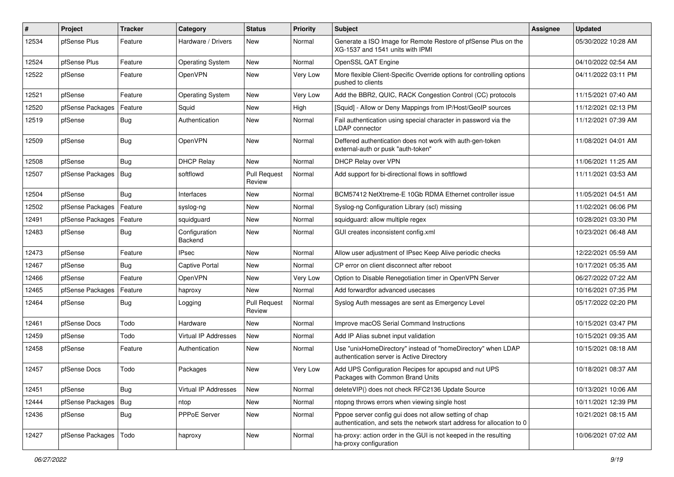| $\vert$ # | Project          | <b>Tracker</b> | Category                        | <b>Status</b>                 | <b>Priority</b> | <b>Subject</b>                                                                                                                   | Assignee | <b>Updated</b>      |
|-----------|------------------|----------------|---------------------------------|-------------------------------|-----------------|----------------------------------------------------------------------------------------------------------------------------------|----------|---------------------|
| 12534     | pfSense Plus     | Feature        | Hardware / Drivers              | New                           | Normal          | Generate a ISO Image for Remote Restore of pfSense Plus on the<br>XG-1537 and 1541 units with IPMI                               |          | 05/30/2022 10:28 AM |
| 12524     | pfSense Plus     | Feature        | <b>Operating System</b>         | New                           | Normal          | OpenSSL QAT Engine                                                                                                               |          | 04/10/2022 02:54 AM |
| 12522     | pfSense          | Feature        | OpenVPN                         | New                           | Very Low        | More flexible Client-Specific Override options for controlling options<br>pushed to clients                                      |          | 04/11/2022 03:11 PM |
| 12521     | pfSense          | Feature        | <b>Operating System</b>         | New                           | Very Low        | Add the BBR2, QUIC, RACK Congestion Control (CC) protocols                                                                       |          | 11/15/2021 07:40 AM |
| 12520     | pfSense Packages | Feature        | Squid                           | New                           | High            | [Squid] - Allow or Deny Mappings from IP/Host/GeoIP sources                                                                      |          | 11/12/2021 02:13 PM |
| 12519     | pfSense          | Bug            | Authentication                  | New                           | Normal          | Fail authentication using special character in password via the<br>LDAP connector                                                |          | 11/12/2021 07:39 AM |
| 12509     | pfSense          | Bug            | <b>OpenVPN</b>                  | New                           | Normal          | Deffered authentication does not work with auth-gen-token<br>external-auth or pusk "auth-token"                                  |          | 11/08/2021 04:01 AM |
| 12508     | pfSense          | Bug            | <b>DHCP Relay</b>               | <b>New</b>                    | Normal          | DHCP Relay over VPN                                                                                                              |          | 11/06/2021 11:25 AM |
| 12507     | pfSense Packages | Bug            | softflowd                       | <b>Pull Request</b><br>Review | Normal          | Add support for bi-directional flows in softflowd                                                                                |          | 11/11/2021 03:53 AM |
| 12504     | pfSense          | Bug            | Interfaces                      | <b>New</b>                    | Normal          | BCM57412 NetXtreme-E 10Gb RDMA Ethernet controller issue                                                                         |          | 11/05/2021 04:51 AM |
| 12502     | pfSense Packages | Feature        | syslog-ng                       | <b>New</b>                    | Normal          | Syslog-ng Configuration Library (scl) missing                                                                                    |          | 11/02/2021 06:06 PM |
| 12491     | pfSense Packages | Feature        | squidguard                      | New                           | Normal          | squidquard: allow multiple regex                                                                                                 |          | 10/28/2021 03:30 PM |
| 12483     | pfSense          | Bug            | Configuration<br><b>Backend</b> | New                           | Normal          | GUI creates inconsistent config.xml                                                                                              |          | 10/23/2021 06:48 AM |
| 12473     | pfSense          | Feature        | <b>IPsec</b>                    | <b>New</b>                    | Normal          | Allow user adjustment of IPsec Keep Alive periodic checks                                                                        |          | 12/22/2021 05:59 AM |
| 12467     | pfSense          | Bug            | Captive Portal                  | <b>New</b>                    | Normal          | CP error on client disconnect after reboot                                                                                       |          | 10/17/2021 05:35 AM |
| 12466     | pfSense          | Feature        | <b>OpenVPN</b>                  | New                           | Very Low        | Option to Disable Renegotiation timer in OpenVPN Server                                                                          |          | 06/27/2022 07:22 AM |
| 12465     | pfSense Packages | Feature        | haproxy                         | <b>New</b>                    | Normal          | Add forwardfor advanced usecases                                                                                                 |          | 10/16/2021 07:35 PM |
| 12464     | pfSense          | Bug            | Logging                         | <b>Pull Request</b><br>Review | Normal          | Syslog Auth messages are sent as Emergency Level                                                                                 |          | 05/17/2022 02:20 PM |
| 12461     | pfSense Docs     | Todo           | Hardware                        | New                           | Normal          | Improve macOS Serial Command Instructions                                                                                        |          | 10/15/2021 03:47 PM |
| 12459     | pfSense          | Todo           | Virtual IP Addresses            | <b>New</b>                    | Normal          | Add IP Alias subnet input validation                                                                                             |          | 10/15/2021 09:35 AM |
| 12458     | pfSense          | Feature        | Authentication                  | <b>New</b>                    | Normal          | Use "unixHomeDirectory" instead of "homeDirectory" when LDAP<br>authentication server is Active Directory                        |          | 10/15/2021 08:18 AM |
| 12457     | pfSense Docs     | Todo           | Packages                        | New                           | Very Low        | Add UPS Configuration Recipes for apcupsd and nut UPS<br>Packages with Common Brand Units                                        |          | 10/18/2021 08:37 AM |
| 12451     | pfSense          | <b>Bug</b>     | Virtual IP Addresses            | New                           | Normal          | deleteVIP() does not check RFC2136 Update Source                                                                                 |          | 10/13/2021 10:06 AM |
| 12444     | pfSense Packages | Bug            | ntop                            | New                           | Normal          | ntopng throws errors when viewing single host                                                                                    |          | 10/11/2021 12:39 PM |
| 12436     | pfSense          | Bug            | PPPoE Server                    | New                           | Normal          | Pppoe server config gui does not allow setting of chap<br>authentication, and sets the network start address for allocation to 0 |          | 10/21/2021 08:15 AM |
| 12427     | pfSense Packages | Todo           | haproxy                         | New                           | Normal          | ha-proxy: action order in the GUI is not keeped in the resulting<br>ha-proxy configuration                                       |          | 10/06/2021 07:02 AM |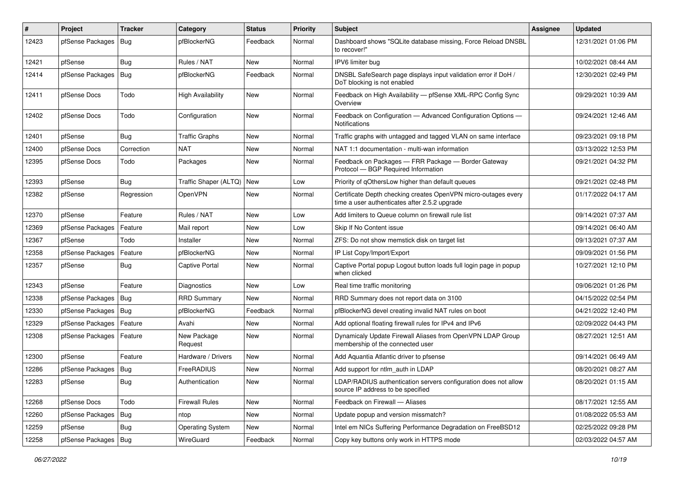| ∦     | Project                | <b>Tracker</b> | Category                 | <b>Status</b> | <b>Priority</b> | <b>Subject</b>                                                                                                  | <b>Assignee</b> | <b>Updated</b>      |
|-------|------------------------|----------------|--------------------------|---------------|-----------------|-----------------------------------------------------------------------------------------------------------------|-----------------|---------------------|
| 12423 | pfSense Packages       | Bug            | pfBlockerNG              | Feedback      | Normal          | Dashboard shows "SQLite database missing, Force Reload DNSBL<br>to recover!"                                    |                 | 12/31/2021 01:06 PM |
| 12421 | pfSense                | Bug            | Rules / NAT              | New           | Normal          | IPV6 limiter bug                                                                                                |                 | 10/02/2021 08:44 AM |
| 12414 | pfSense Packages       | Bug            | pfBlockerNG              | Feedback      | Normal          | DNSBL SafeSearch page displays input validation error if DoH /<br>DoT blocking is not enabled                   |                 | 12/30/2021 02:49 PM |
| 12411 | pfSense Docs           | Todo           | <b>High Availability</b> | <b>New</b>    | Normal          | Feedback on High Availability - pfSense XML-RPC Config Sync<br>Overview                                         |                 | 09/29/2021 10:39 AM |
| 12402 | pfSense Docs           | Todo           | Configuration            | <b>New</b>    | Normal          | Feedback on Configuration - Advanced Configuration Options -<br><b>Notifications</b>                            |                 | 09/24/2021 12:46 AM |
| 12401 | pfSense                | Bug            | <b>Traffic Graphs</b>    | New           | Normal          | Traffic graphs with untagged and tagged VLAN on same interface                                                  |                 | 09/23/2021 09:18 PM |
| 12400 | pfSense Docs           | Correction     | <b>NAT</b>               | New           | Normal          | NAT 1:1 documentation - multi-wan information                                                                   |                 | 03/13/2022 12:53 PM |
| 12395 | pfSense Docs           | Todo           | Packages                 | New           | Normal          | Feedback on Packages - FRR Package - Border Gateway<br>Protocol - BGP Required Information                      |                 | 09/21/2021 04:32 PM |
| 12393 | pfSense                | Bug            | Traffic Shaper (ALTQ)    | New           | Low             | Priority of gOthersLow higher than default queues                                                               |                 | 09/21/2021 02:48 PM |
| 12382 | pfSense                | Regression     | OpenVPN                  | New           | Normal          | Certificate Depth checking creates OpenVPN micro-outages every<br>time a user authenticates after 2.5.2 upgrade |                 | 01/17/2022 04:17 AM |
| 12370 | pfSense                | Feature        | Rules / NAT              | New           | Low             | Add limiters to Queue column on firewall rule list                                                              |                 | 09/14/2021 07:37 AM |
| 12369 | pfSense Packages       | Feature        | Mail report              | New           | Low             | Skip If No Content issue                                                                                        |                 | 09/14/2021 06:40 AM |
| 12367 | pfSense                | Todo           | Installer                | New           | Normal          | ZFS: Do not show memstick disk on target list                                                                   |                 | 09/13/2021 07:37 AM |
| 12358 | pfSense Packages       | Feature        | pfBlockerNG              | New           | Normal          | IP List Copy/Import/Export                                                                                      |                 | 09/09/2021 01:56 PM |
| 12357 | pfSense                | Bug            | <b>Captive Portal</b>    | <b>New</b>    | Normal          | Captive Portal popup Logout button loads full login page in popup<br>when clicked                               |                 | 10/27/2021 12:10 PM |
| 12343 | pfSense                | Feature        | Diagnostics              | New           | Low             | Real time traffic monitoring                                                                                    |                 | 09/06/2021 01:26 PM |
| 12338 | pfSense Packages       | Bug            | <b>RRD Summary</b>       | <b>New</b>    | Normal          | RRD Summary does not report data on 3100                                                                        |                 | 04/15/2022 02:54 PM |
| 12330 | pfSense Packages       | Bug            | pfBlockerNG              | Feedback      | Normal          | pfBlockerNG devel creating invalid NAT rules on boot                                                            |                 | 04/21/2022 12:40 PM |
| 12329 | pfSense Packages       | Feature        | Avahi                    | New           | Normal          | Add optional floating firewall rules for IPv4 and IPv6                                                          |                 | 02/09/2022 04:43 PM |
| 12308 | pfSense Packages       | Feature        | New Package<br>Request   | New           | Normal          | Dynamicaly Update Firewall Aliases from OpenVPN LDAP Group<br>membership of the connected user                  |                 | 08/27/2021 12:51 AM |
| 12300 | pfSense                | Feature        | Hardware / Drivers       | <b>New</b>    | Normal          | Add Aquantia Atlantic driver to pfsense                                                                         |                 | 09/14/2021 06:49 AM |
| 12286 | pfSense Packages       | Bug            | FreeRADIUS               | New           | Normal          | Add support for ntlm auth in LDAP                                                                               |                 | 08/20/2021 08:27 AM |
| 12283 | pfSense                | <b>Bug</b>     | Authentication           | New           | Normal          | LDAP/RADIUS authentication servers configuration does not allow<br>source IP address to be specified            |                 | 08/20/2021 01:15 AM |
| 12268 | pfSense Docs           | Todo           | <b>Firewall Rules</b>    | New           | Normal          | Feedback on Firewall - Aliases                                                                                  |                 | 08/17/2021 12:55 AM |
| 12260 | pfSense Packages       | Bug            | ntop                     | New           | Normal          | Update popup and version missmatch?                                                                             |                 | 01/08/2022 05:53 AM |
| 12259 | pfSense                | <b>Bug</b>     | <b>Operating System</b>  | New           | Normal          | Intel em NICs Suffering Performance Degradation on FreeBSD12                                                    |                 | 02/25/2022 09:28 PM |
| 12258 | pfSense Packages   Bug |                | WireGuard                | Feedback      | Normal          | Copy key buttons only work in HTTPS mode                                                                        |                 | 02/03/2022 04:57 AM |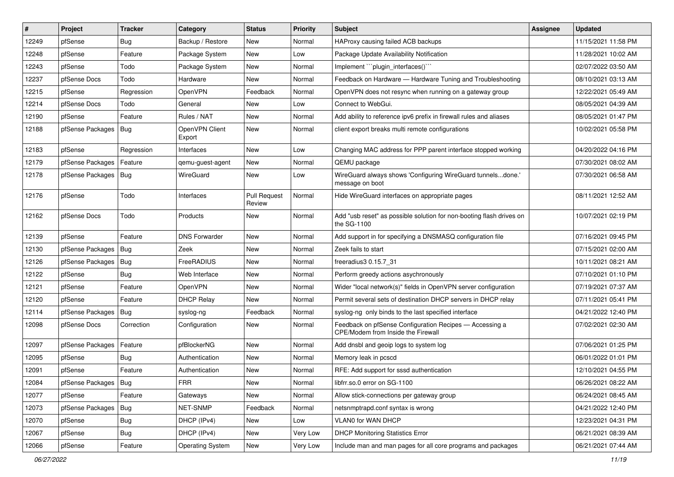| $\vert$ # | Project                | <b>Tracker</b> | Category                 | <b>Status</b>                 | <b>Priority</b> | Subject                                                                                       | Assignee | <b>Updated</b>      |
|-----------|------------------------|----------------|--------------------------|-------------------------------|-----------------|-----------------------------------------------------------------------------------------------|----------|---------------------|
| 12249     | pfSense                | Bug            | Backup / Restore         | New                           | Normal          | HAProxy causing failed ACB backups                                                            |          | 11/15/2021 11:58 PM |
| 12248     | pfSense                | Feature        | Package System           | New                           | Low             | Package Update Availability Notification                                                      |          | 11/28/2021 10:02 AM |
| 12243     | pfSense                | Todo           | Package System           | New                           | Normal          | Implement "``plugin_interfaces()```                                                           |          | 02/07/2022 03:50 AM |
| 12237     | pfSense Docs           | Todo           | Hardware                 | New                           | Normal          | Feedback on Hardware - Hardware Tuning and Troubleshooting                                    |          | 08/10/2021 03:13 AM |
| 12215     | pfSense                | Regression     | OpenVPN                  | Feedback                      | Normal          | OpenVPN does not resync when running on a gateway group                                       |          | 12/22/2021 05:49 AM |
| 12214     | pfSense Docs           | Todo           | General                  | New                           | Low             | Connect to WebGui.                                                                            |          | 08/05/2021 04:39 AM |
| 12190     | pfSense                | Feature        | Rules / NAT              | New                           | Normal          | Add ability to reference ipv6 prefix in firewall rules and aliases                            |          | 08/05/2021 01:47 PM |
| 12188     | pfSense Packages       | Bug            | OpenVPN Client<br>Export | New                           | Normal          | client export breaks multi remote configurations                                              |          | 10/02/2021 05:58 PM |
| 12183     | pfSense                | Regression     | Interfaces               | <b>New</b>                    | Low             | Changing MAC address for PPP parent interface stopped working                                 |          | 04/20/2022 04:16 PM |
| 12179     | pfSense Packages       | Feature        | gemu-guest-agent         | New                           | Normal          | QEMU package                                                                                  |          | 07/30/2021 08:02 AM |
| 12178     | pfSense Packages       | <b>Bug</b>     | WireGuard                | New                           | Low             | WireGuard always shows 'Configuring WireGuard tunnelsdone.'<br>message on boot                |          | 07/30/2021 06:58 AM |
| 12176     | pfSense                | Todo           | Interfaces               | <b>Pull Request</b><br>Review | Normal          | Hide WireGuard interfaces on appropriate pages                                                |          | 08/11/2021 12:52 AM |
| 12162     | pfSense Docs           | Todo           | Products                 | <b>New</b>                    | Normal          | Add "usb reset" as possible solution for non-booting flash drives on<br>the SG-1100           |          | 10/07/2021 02:19 PM |
| 12139     | pfSense                | Feature        | <b>DNS Forwarder</b>     | <b>New</b>                    | Normal          | Add support in for specifying a DNSMASQ configuration file                                    |          | 07/16/2021 09:45 PM |
| 12130     | pfSense Packages       | Bug            | Zeek                     | New                           | Normal          | Zeek fails to start                                                                           |          | 07/15/2021 02:00 AM |
| 12126     | pfSense Packages       | <b>Bug</b>     | FreeRADIUS               | New                           | Normal          | freeradius3 0.15.7 31                                                                         |          | 10/11/2021 08:21 AM |
| 12122     | pfSense                | Bug            | Web Interface            | New                           | Normal          | Perform greedy actions asychronously                                                          |          | 07/10/2021 01:10 PM |
| 12121     | pfSense                | Feature        | OpenVPN                  | New                           | Normal          | Wider "local network(s)" fields in OpenVPN server configuration                               |          | 07/19/2021 07:37 AM |
| 12120     | pfSense                | Feature        | <b>DHCP Relay</b>        | New                           | Normal          | Permit several sets of destination DHCP servers in DHCP relay                                 |          | 07/11/2021 05:41 PM |
| 12114     | pfSense Packages       | Bug            | syslog-ng                | Feedback                      | Normal          | syslog-ng only binds to the last specified interface                                          |          | 04/21/2022 12:40 PM |
| 12098     | pfSense Docs           | Correction     | Configuration            | New                           | Normal          | Feedback on pfSense Configuration Recipes - Accessing a<br>CPE/Modem from Inside the Firewall |          | 07/02/2021 02:30 AM |
| 12097     | pfSense Packages       | Feature        | pfBlockerNG              | New                           | Normal          | Add dnsbl and geoip logs to system log                                                        |          | 07/06/2021 01:25 PM |
| 12095     | pfSense                | Bug            | Authentication           | New                           | Normal          | Memory leak in pcscd                                                                          |          | 06/01/2022 01:01 PM |
| 12091     | pfSense                | Feature        | Authentication           | New                           | Normal          | RFE: Add support for sssd authentication                                                      |          | 12/10/2021 04:55 PM |
| 12084     | pfSense Packages   Bug |                | FRR                      | New                           | Normal          | libfrr.so.0 error on SG-1100                                                                  |          | 06/26/2021 08:22 AM |
| 12077     | pfSense                | Feature        | Gateways                 | New                           | Normal          | Allow stick-connections per gateway group                                                     |          | 06/24/2021 08:45 AM |
| 12073     | pfSense Packages       | Bug            | NET-SNMP                 | Feedback                      | Normal          | netsnmptrapd.conf syntax is wrong                                                             |          | 04/21/2022 12:40 PM |
| 12070     | pfSense                | <b>Bug</b>     | DHCP (IPv4)              | New                           | Low             | VLAN0 for WAN DHCP                                                                            |          | 12/23/2021 04:31 PM |
| 12067     | pfSense                | <b>Bug</b>     | DHCP (IPv4)              | New                           | Very Low        | <b>DHCP Monitoring Statistics Error</b>                                                       |          | 06/21/2021 08:39 AM |
| 12066     | pfSense                | Feature        | <b>Operating System</b>  | New                           | Very Low        | Include man and man pages for all core programs and packages                                  |          | 06/21/2021 07:44 AM |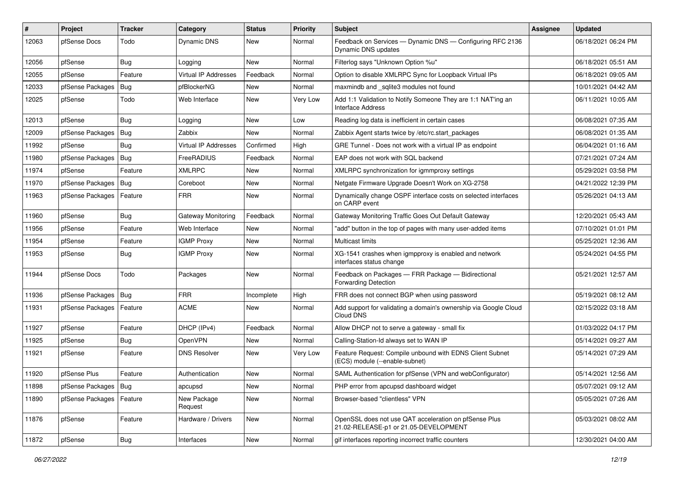| #     | Project                | <b>Tracker</b> | Category                    | <b>Status</b> | <b>Priority</b> | Subject                                                                                        | <b>Assignee</b> | <b>Updated</b>      |
|-------|------------------------|----------------|-----------------------------|---------------|-----------------|------------------------------------------------------------------------------------------------|-----------------|---------------------|
| 12063 | pfSense Docs           | Todo           | Dynamic DNS                 | New           | Normal          | Feedback on Services - Dynamic DNS - Configuring RFC 2136<br>Dynamic DNS updates               |                 | 06/18/2021 06:24 PM |
| 12056 | pfSense                | Bug            | Logging                     | New           | Normal          | Filterlog says "Unknown Option %u"                                                             |                 | 06/18/2021 05:51 AM |
| 12055 | pfSense                | Feature        | <b>Virtual IP Addresses</b> | Feedback      | Normal          | Option to disable XMLRPC Sync for Loopback Virtual IPs                                         |                 | 06/18/2021 09:05 AM |
| 12033 | pfSense Packages       | Bug            | pfBlockerNG                 | <b>New</b>    | Normal          | maxmindb and _sqlite3 modules not found                                                        |                 | 10/01/2021 04:42 AM |
| 12025 | pfSense                | Todo           | Web Interface               | <b>New</b>    | Very Low        | Add 1:1 Validation to Notify Someone They are 1:1 NAT'ing an<br><b>Interface Address</b>       |                 | 06/11/2021 10:05 AM |
| 12013 | pfSense                | <b>Bug</b>     | Logging                     | <b>New</b>    | Low             | Reading log data is inefficient in certain cases                                               |                 | 06/08/2021 07:35 AM |
| 12009 | pfSense Packages       | <b>Bug</b>     | Zabbix                      | New           | Normal          | Zabbix Agent starts twice by /etc/rc.start packages                                            |                 | 06/08/2021 01:35 AM |
| 11992 | pfSense                | Bug            | Virtual IP Addresses        | Confirmed     | High            | GRE Tunnel - Does not work with a virtual IP as endpoint                                       |                 | 06/04/2021 01:16 AM |
| 11980 | pfSense Packages       | Bug            | FreeRADIUS                  | Feedback      | Normal          | EAP does not work with SQL backend                                                             |                 | 07/21/2021 07:24 AM |
| 11974 | pfSense                | Feature        | <b>XMLRPC</b>               | <b>New</b>    | Normal          | XMLRPC synchronization for igmmproxy settings                                                  |                 | 05/29/2021 03:58 PM |
| 11970 | pfSense Packages       | Bug            | Coreboot                    | <b>New</b>    | Normal          | Netgate Firmware Upgrade Doesn't Work on XG-2758                                               |                 | 04/21/2022 12:39 PM |
| 11963 | pfSense Packages       | Feature        | <b>FRR</b>                  | New           | Normal          | Dynamically change OSPF interface costs on selected interfaces<br>on CARP event                |                 | 05/26/2021 04:13 AM |
| 11960 | pfSense                | Bug            | Gateway Monitoring          | Feedback      | Normal          | Gateway Monitoring Traffic Goes Out Default Gateway                                            |                 | 12/20/2021 05:43 AM |
| 11956 | pfSense                | Feature        | Web Interface               | New           | Normal          | "add" button in the top of pages with many user-added items                                    |                 | 07/10/2021 01:01 PM |
| 11954 | pfSense                | Feature        | <b>IGMP Proxy</b>           | <b>New</b>    | Normal          | <b>Multicast limits</b>                                                                        |                 | 05/25/2021 12:36 AM |
| 11953 | pfSense                | Bug            | <b>IGMP Proxy</b>           | <b>New</b>    | Normal          | XG-1541 crashes when igmpproxy is enabled and network<br>interfaces status change              |                 | 05/24/2021 04:55 PM |
| 11944 | pfSense Docs           | Todo           | Packages                    | <b>New</b>    | Normal          | Feedback on Packages - FRR Package - Bidirectional<br><b>Forwarding Detection</b>              |                 | 05/21/2021 12:57 AM |
| 11936 | pfSense Packages       | Bug            | <b>FRR</b>                  | Incomplete    | High            | FRR does not connect BGP when using password                                                   |                 | 05/19/2021 08:12 AM |
| 11931 | pfSense Packages       | Feature        | <b>ACME</b>                 | <b>New</b>    | Normal          | Add support for validating a domain's ownership via Google Cloud<br>Cloud DNS                  |                 | 02/15/2022 03:18 AM |
| 11927 | pfSense                | Feature        | DHCP (IPv4)                 | Feedback      | Normal          | Allow DHCP not to serve a gateway - small fix                                                  |                 | 01/03/2022 04:17 PM |
| 11925 | pfSense                | Bug            | OpenVPN                     | New           | Normal          | Calling-Station-Id always set to WAN IP                                                        |                 | 05/14/2021 09:27 AM |
| 11921 | pfSense                | Feature        | <b>DNS Resolver</b>         | <b>New</b>    | Very Low        | Feature Request: Compile unbound with EDNS Client Subnet<br>(ECS) module (--enable-subnet)     |                 | 05/14/2021 07:29 AM |
| 11920 | pfSense Plus           | Feature        | Authentication              | New           | Normal          | SAML Authentication for pfSense (VPN and webConfigurator)                                      |                 | 05/14/2021 12:56 AM |
| 11898 | pfSense Packages   Bug |                | apcupsd                     | New           | Normal          | PHP error from apcupsd dashboard widget                                                        |                 | 05/07/2021 09:12 AM |
| 11890 | pfSense Packages       | Feature        | New Package<br>Request      | New           | Normal          | Browser-based "clientless" VPN                                                                 |                 | 05/05/2021 07:26 AM |
| 11876 | pfSense                | Feature        | Hardware / Drivers          | New           | Normal          | OpenSSL does not use QAT acceleration on pfSense Plus<br>21.02-RELEASE-p1 or 21.05-DEVELOPMENT |                 | 05/03/2021 08:02 AM |
| 11872 | pfSense                | Bug            | Interfaces                  | New           | Normal          | gif interfaces reporting incorrect traffic counters                                            |                 | 12/30/2021 04:00 AM |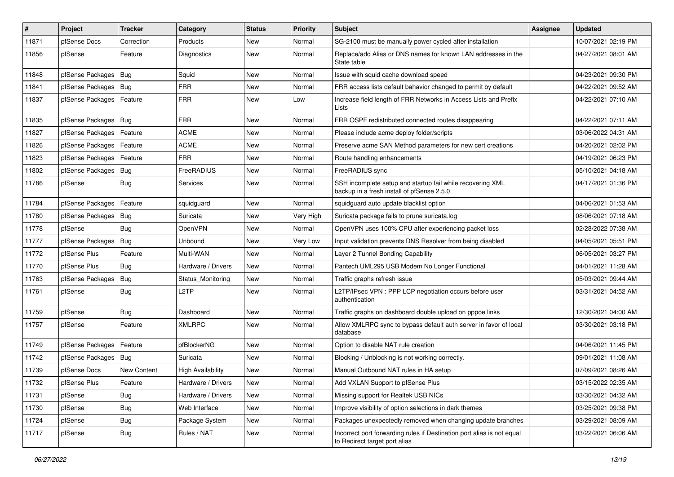| $\vert$ # | Project                | <b>Tracker</b> | Category                 | <b>Status</b> | <b>Priority</b> | Subject                                                                                                  | <b>Assignee</b> | <b>Updated</b>      |
|-----------|------------------------|----------------|--------------------------|---------------|-----------------|----------------------------------------------------------------------------------------------------------|-----------------|---------------------|
| 11871     | pfSense Docs           | Correction     | Products                 | New           | Normal          | SG-2100 must be manually power cycled after installation                                                 |                 | 10/07/2021 02:19 PM |
| 11856     | pfSense                | Feature        | Diagnostics              | <b>New</b>    | Normal          | Replace/add Alias or DNS names for known LAN addresses in the<br>State table                             |                 | 04/27/2021 08:01 AM |
| 11848     | pfSense Packages       | Bug            | Squid                    | <b>New</b>    | Normal          | Issue with squid cache download speed                                                                    |                 | 04/23/2021 09:30 PM |
| 11841     | pfSense Packages       | Bug            | <b>FRR</b>               | New           | Normal          | FRR access lists default bahavior changed to permit by default                                           |                 | 04/22/2021 09:52 AM |
| 11837     | pfSense Packages       | Feature        | <b>FRR</b>               | <b>New</b>    | Low             | Increase field length of FRR Networks in Access Lists and Prefix<br>Lists                                |                 | 04/22/2021 07:10 AM |
| 11835     | pfSense Packages       | <b>Bug</b>     | <b>FRR</b>               | <b>New</b>    | Normal          | FRR OSPF redistributed connected routes disappearing                                                     |                 | 04/22/2021 07:11 AM |
| 11827     | pfSense Packages       | Feature        | <b>ACME</b>              | New           | Normal          | Please include acme deploy folder/scripts                                                                |                 | 03/06/2022 04:31 AM |
| 11826     | pfSense Packages       | Feature        | <b>ACME</b>              | <b>New</b>    | Normal          | Preserve acme SAN Method parameters for new cert creations                                               |                 | 04/20/2021 02:02 PM |
| 11823     | pfSense Packages       | Feature        | <b>FRR</b>               | New           | Normal          | Route handling enhancements                                                                              |                 | 04/19/2021 06:23 PM |
| 11802     | pfSense Packages       | Bug            | FreeRADIUS               | New           | Normal          | FreeRADIUS sync                                                                                          |                 | 05/10/2021 04:18 AM |
| 11786     | pfSense                | Bug            | Services                 | <b>New</b>    | Normal          | SSH incomplete setup and startup fail while recovering XML<br>backup in a fresh install of pfSense 2.5.0 |                 | 04/17/2021 01:36 PM |
| 11784     | pfSense Packages       | Feature        | squidguard               | <b>New</b>    | Normal          | squidguard auto update blacklist option                                                                  |                 | 04/06/2021 01:53 AM |
| 11780     | pfSense Packages       | <b>Bug</b>     | Suricata                 | <b>New</b>    | Very High       | Suricata package fails to prune suricata.log                                                             |                 | 08/06/2021 07:18 AM |
| 11778     | pfSense                | Bug            | OpenVPN                  | New           | Normal          | OpenVPN uses 100% CPU after experiencing packet loss                                                     |                 | 02/28/2022 07:38 AM |
| 11777     | pfSense Packages       | <b>Bug</b>     | Unbound                  | <b>New</b>    | Very Low        | Input validation prevents DNS Resolver from being disabled                                               |                 | 04/05/2021 05:51 PM |
| 11772     | pfSense Plus           | Feature        | Multi-WAN                | New           | Normal          | Layer 2 Tunnel Bonding Capability                                                                        |                 | 06/05/2021 03:27 PM |
| 11770     | pfSense Plus           | Bug            | Hardware / Drivers       | <b>New</b>    | Normal          | Pantech UML295 USB Modem No Longer Functional                                                            |                 | 04/01/2021 11:28 AM |
| 11763     | pfSense Packages       | Bug            | Status_Monitoring        | New           | Normal          | Traffic graphs refresh issue                                                                             |                 | 05/03/2021 09:44 AM |
| 11761     | pfSense                | Bug            | L2TP                     | New           | Normal          | L2TP/IPsec VPN : PPP LCP negotiation occurs before user<br>authentication                                |                 | 03/31/2021 04:52 AM |
| 11759     | pfSense                | Bug            | Dashboard                | New           | Normal          | Traffic graphs on dashboard double upload on pppoe links                                                 |                 | 12/30/2021 04:00 AM |
| 11757     | pfSense                | Feature        | <b>XMLRPC</b>            | New           | Normal          | Allow XMLRPC sync to bypass default auth server in favor of local<br>database                            |                 | 03/30/2021 03:18 PM |
| 11749     | pfSense Packages       | Feature        | pfBlockerNG              | New           | Normal          | Option to disable NAT rule creation                                                                      |                 | 04/06/2021 11:45 PM |
| 11742     | pfSense Packages   Bug |                | Suricata                 | <b>New</b>    | Normal          | Blocking / Unblocking is not working correctly.                                                          |                 | 09/01/2021 11:08 AM |
| 11739     | pfSense Docs           | New Content    | <b>High Availability</b> | <b>New</b>    | Normal          | Manual Outbound NAT rules in HA setup                                                                    |                 | 07/09/2021 08:26 AM |
| 11732     | pfSense Plus           | Feature        | Hardware / Drivers       | New           | Normal          | Add VXLAN Support to pfSense Plus                                                                        |                 | 03/15/2022 02:35 AM |
| 11731     | pfSense                | Bug            | Hardware / Drivers       | New           | Normal          | Missing support for Realtek USB NICs                                                                     |                 | 03/30/2021 04:32 AM |
| 11730     | pfSense                | Bug            | Web Interface            | New           | Normal          | Improve visibility of option selections in dark themes                                                   |                 | 03/25/2021 09:38 PM |
| 11724     | pfSense                | <b>Bug</b>     | Package System           | New           | Normal          | Packages unexpectedly removed when changing update branches                                              |                 | 03/29/2021 08:09 AM |
| 11717     | pfSense                | <b>Bug</b>     | Rules / NAT              | New           | Normal          | Incorrect port forwarding rules if Destination port alias is not equal<br>to Redirect target port alias  |                 | 03/22/2021 06:06 AM |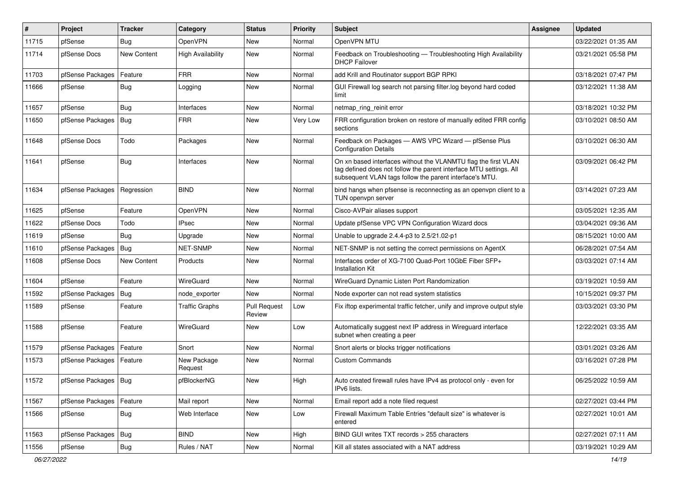| #     | Project                | <b>Tracker</b> | Category                 | <b>Status</b>                 | <b>Priority</b> | <b>Subject</b>                                                                                                                                                                                  | <b>Assignee</b> | <b>Updated</b>      |
|-------|------------------------|----------------|--------------------------|-------------------------------|-----------------|-------------------------------------------------------------------------------------------------------------------------------------------------------------------------------------------------|-----------------|---------------------|
| 11715 | pfSense                | Bug            | OpenVPN                  | New                           | Normal          | OpenVPN MTU                                                                                                                                                                                     |                 | 03/22/2021 01:35 AM |
| 11714 | pfSense Docs           | New Content    | <b>High Availability</b> | <b>New</b>                    | Normal          | Feedback on Troubleshooting - Troubleshooting High Availability<br><b>DHCP Failover</b>                                                                                                         |                 | 03/21/2021 05:58 PM |
| 11703 | pfSense Packages       | Feature        | <b>FRR</b>               | <b>New</b>                    | Normal          | add Krill and Routinator support BGP RPKI                                                                                                                                                       |                 | 03/18/2021 07:47 PM |
| 11666 | pfSense                | Bug            | Logging                  | New                           | Normal          | GUI Firewall log search not parsing filter.log beyond hard coded<br>limit                                                                                                                       |                 | 03/12/2021 11:38 AM |
| 11657 | pfSense                | Bug            | Interfaces               | <b>New</b>                    | Normal          | netmap ring reinit error                                                                                                                                                                        |                 | 03/18/2021 10:32 PM |
| 11650 | pfSense Packages       | Bug            | <b>FRR</b>               | <b>New</b>                    | Very Low        | FRR configuration broken on restore of manually edited FRR config<br>sections                                                                                                                   |                 | 03/10/2021 08:50 AM |
| 11648 | pfSense Docs           | Todo           | Packages                 | <b>New</b>                    | Normal          | Feedback on Packages - AWS VPC Wizard - pfSense Plus<br><b>Configuration Details</b>                                                                                                            |                 | 03/10/2021 06:30 AM |
| 11641 | pfSense                | Bug            | Interfaces               | <b>New</b>                    | Normal          | On xn based interfaces without the VLANMTU flag the first VLAN<br>tag defined does not follow the parent interface MTU settings. All<br>subsequent VLAN tags follow the parent interface's MTU. |                 | 03/09/2021 06:42 PM |
| 11634 | pfSense Packages       | Regression     | <b>BIND</b>              | <b>New</b>                    | Normal          | bind hangs when pfsense is reconnecting as an openypn client to a<br>TUN openvpn server                                                                                                         |                 | 03/14/2021 07:23 AM |
| 11625 | pfSense                | Feature        | OpenVPN                  | New                           | Normal          | Cisco-AVPair aliases support                                                                                                                                                                    |                 | 03/05/2021 12:35 AM |
| 11622 | pfSense Docs           | Todo           | IPsec                    | <b>New</b>                    | Normal          | Update pfSense VPC VPN Configuration Wizard docs                                                                                                                                                |                 | 03/04/2021 09:36 AM |
| 11619 | pfSense                | Bug            | Upgrade                  | <b>New</b>                    | Normal          | Unable to upgrade 2.4.4-p3 to 2.5/21.02-p1                                                                                                                                                      |                 | 08/15/2021 10:00 AM |
| 11610 | pfSense Packages       | <b>Bug</b>     | NET-SNMP                 | New                           | Normal          | NET-SNMP is not setting the correct permissions on AgentX                                                                                                                                       |                 | 06/28/2021 07:54 AM |
| 11608 | pfSense Docs           | New Content    | Products                 | New                           | Normal          | Interfaces order of XG-7100 Quad-Port 10GbE Fiber SFP+<br><b>Installation Kit</b>                                                                                                               |                 | 03/03/2021 07:14 AM |
| 11604 | pfSense                | Feature        | WireGuard                | <b>New</b>                    | Normal          | WireGuard Dynamic Listen Port Randomization                                                                                                                                                     |                 | 03/19/2021 10:59 AM |
| 11592 | pfSense Packages       | <b>Bug</b>     | node exporter            | New                           | Normal          | Node exporter can not read system statistics                                                                                                                                                    |                 | 10/15/2021 09:37 PM |
| 11589 | pfSense                | Feature        | <b>Traffic Graphs</b>    | <b>Pull Request</b><br>Review | Low             | Fix iftop experimental traffic fetcher, unify and improve output style                                                                                                                          |                 | 03/03/2021 03:30 PM |
| 11588 | pfSense                | Feature        | WireGuard                | <b>New</b>                    | Low             | Automatically suggest next IP address in Wireguard interface<br>subnet when creating a peer                                                                                                     |                 | 12/22/2021 03:35 AM |
| 11579 | pfSense Packages       | Feature        | Snort                    | New                           | Normal          | Snort alerts or blocks trigger notifications                                                                                                                                                    |                 | 03/01/2021 03:26 AM |
| 11573 | pfSense Packages       | Feature        | New Package<br>Request   | New                           | Normal          | <b>Custom Commands</b>                                                                                                                                                                          |                 | 03/16/2021 07:28 PM |
| 11572 | pfSense Packages   Bug |                | pfBlockerNG              | New                           | High            | Auto created firewall rules have IPv4 as protocol only - even for<br>IPv6 lists.                                                                                                                |                 | 06/25/2022 10:59 AM |
| 11567 | pfSense Packages       | Feature        | Mail report              | New                           | Normal          | Email report add a note filed request                                                                                                                                                           |                 | 02/27/2021 03:44 PM |
| 11566 | pfSense                | <b>Bug</b>     | Web Interface            | New                           | Low             | Firewall Maximum Table Entries "default size" is whatever is<br>entered                                                                                                                         |                 | 02/27/2021 10:01 AM |
| 11563 | pfSense Packages       | Bug            | <b>BIND</b>              | New                           | High            | BIND GUI writes TXT records > 255 characters                                                                                                                                                    |                 | 02/27/2021 07:11 AM |
| 11556 | pfSense                | <b>Bug</b>     | Rules / NAT              | New                           | Normal          | Kill all states associated with a NAT address                                                                                                                                                   |                 | 03/19/2021 10:29 AM |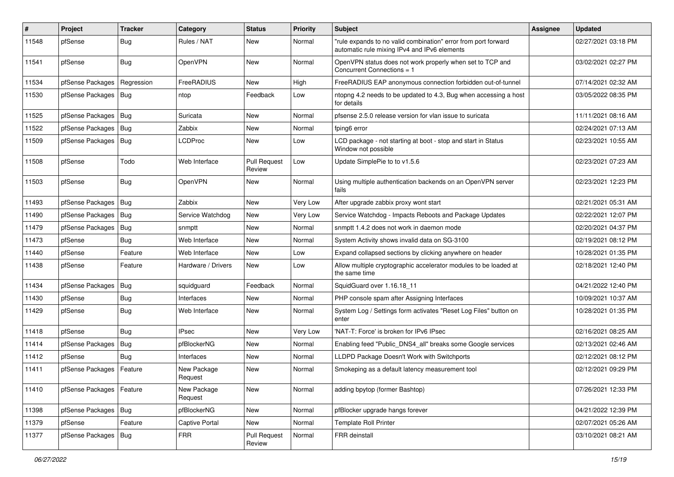| $\vert$ # | Project                | <b>Tracker</b> | Category               | <b>Status</b>                 | <b>Priority</b> | <b>Subject</b>                                                                                                 | <b>Assignee</b> | <b>Updated</b>      |
|-----------|------------------------|----------------|------------------------|-------------------------------|-----------------|----------------------------------------------------------------------------------------------------------------|-----------------|---------------------|
| 11548     | pfSense                | Bug            | Rules / NAT            | New                           | Normal          | "rule expands to no valid combination" error from port forward<br>automatic rule mixing IPv4 and IPv6 elements |                 | 02/27/2021 03:18 PM |
| 11541     | pfSense                | Bug            | <b>OpenVPN</b>         | New                           | Normal          | OpenVPN status does not work properly when set to TCP and<br>Concurrent Connections = 1                        |                 | 03/02/2021 02:27 PM |
| 11534     | pfSense Packages       | Regression     | FreeRADIUS             | <b>New</b>                    | High            | FreeRADIUS EAP anonymous connection forbidden out-of-tunnel                                                    |                 | 07/14/2021 02:32 AM |
| 11530     | pfSense Packages       | Bug            | ntop                   | Feedback                      | Low             | ntopng 4.2 needs to be updated to 4.3, Bug when accessing a host<br>for details                                |                 | 03/05/2022 08:35 PM |
| 11525     | pfSense Packages       | Bug            | Suricata               | <b>New</b>                    | Normal          | pfsense 2.5.0 release version for vlan issue to suricata                                                       |                 | 11/11/2021 08:16 AM |
| 11522     | pfSense Packages       | <b>Bug</b>     | Zabbix                 | New                           | Normal          | fping6 error                                                                                                   |                 | 02/24/2021 07:13 AM |
| 11509     | pfSense Packages   Bug |                | LCDProc                | <b>New</b>                    | Low             | LCD package - not starting at boot - stop and start in Status<br>Window not possible                           |                 | 02/23/2021 10:55 AM |
| 11508     | pfSense                | Todo           | Web Interface          | <b>Pull Request</b><br>Review | Low             | Update SimplePie to to v1.5.6                                                                                  |                 | 02/23/2021 07:23 AM |
| 11503     | pfSense                | Bug            | OpenVPN                | New                           | Normal          | Using multiple authentication backends on an OpenVPN server<br>fails                                           |                 | 02/23/2021 12:23 PM |
| 11493     | pfSense Packages       | <b>Bug</b>     | Zabbix                 | New                           | Very Low        | After upgrade zabbix proxy wont start                                                                          |                 | 02/21/2021 05:31 AM |
| 11490     | pfSense Packages       | Bug            | Service Watchdog       | New                           | Very Low        | Service Watchdog - Impacts Reboots and Package Updates                                                         |                 | 02/22/2021 12:07 PM |
| 11479     | pfSense Packages       | Bug            | snmptt                 | <b>New</b>                    | Normal          | snmptt 1.4.2 does not work in daemon mode                                                                      |                 | 02/20/2021 04:37 PM |
| 11473     | pfSense                | Bug            | Web Interface          | <b>New</b>                    | Normal          | System Activity shows invalid data on SG-3100                                                                  |                 | 02/19/2021 08:12 PM |
| 11440     | pfSense                | Feature        | Web Interface          | New                           | Low             | Expand collapsed sections by clicking anywhere on header                                                       |                 | 10/28/2021 01:35 PM |
| 11438     | pfSense                | Feature        | Hardware / Drivers     | <b>New</b>                    | Low             | Allow multiple cryptographic accelerator modules to be loaded at<br>the same time                              |                 | 02/18/2021 12:40 PM |
| 11434     | pfSense Packages       | Bug            | squidguard             | Feedback                      | Normal          | SquidGuard over 1.16.18_11                                                                                     |                 | 04/21/2022 12:40 PM |
| 11430     | pfSense                | Bug            | Interfaces             | <b>New</b>                    | Normal          | PHP console spam after Assigning Interfaces                                                                    |                 | 10/09/2021 10:37 AM |
| 11429     | pfSense                | <b>Bug</b>     | Web Interface          | New                           | Normal          | System Log / Settings form activates "Reset Log Files" button on<br>enter                                      |                 | 10/28/2021 01:35 PM |
| 11418     | pfSense                | Bug            | <b>IPsec</b>           | New                           | Very Low        | 'NAT-T: Force' is broken for IPv6 IPsec                                                                        |                 | 02/16/2021 08:25 AM |
| 11414     | pfSense Packages       | Bug            | pfBlockerNG            | New                           | Normal          | Enabling feed "Public DNS4 all" breaks some Google services                                                    |                 | 02/13/2021 02:46 AM |
| 11412     | pfSense                | <b>Bug</b>     | Interfaces             | <b>New</b>                    | Normal          | LLDPD Package Doesn't Work with Switchports                                                                    |                 | 02/12/2021 08:12 PM |
| 11411     | pfSense Packages       | Feature        | New Package<br>Request | New                           | Normal          | Smokeping as a default latency measurement tool                                                                |                 | 02/12/2021 09:29 PM |
| 11410     | pfSense Packages       | Feature        | New Package<br>Request | New                           | Normal          | adding bpytop (former Bashtop)                                                                                 |                 | 07/26/2021 12:33 PM |
| 11398     | pfSense Packages   Bug |                | pfBlockerNG            | New                           | Normal          | pfBlocker upgrade hangs forever                                                                                |                 | 04/21/2022 12:39 PM |
| 11379     | pfSense                | Feature        | Captive Portal         | New                           | Normal          | <b>Template Roll Printer</b>                                                                                   |                 | 02/07/2021 05:26 AM |
| 11377     | pfSense Packages       | <b>Bug</b>     | <b>FRR</b>             | <b>Pull Request</b><br>Review | Normal          | FRR deinstall                                                                                                  |                 | 03/10/2021 08:21 AM |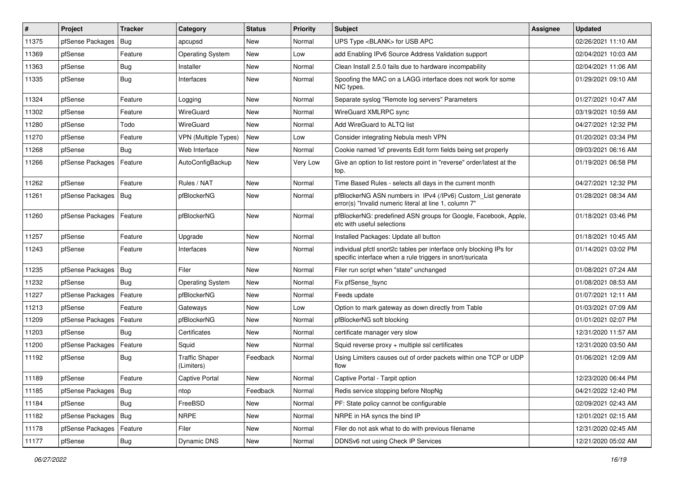| #     | Project          | <b>Tracker</b> | Category                            | <b>Status</b> | <b>Priority</b> | Subject                                                                                                                          | <b>Assignee</b> | <b>Updated</b>      |
|-------|------------------|----------------|-------------------------------------|---------------|-----------------|----------------------------------------------------------------------------------------------------------------------------------|-----------------|---------------------|
| 11375 | pfSense Packages | Bug            | apcupsd                             | New           | Normal          | UPS Type <blank> for USB APC</blank>                                                                                             |                 | 02/26/2021 11:10 AM |
| 11369 | pfSense          | Feature        | <b>Operating System</b>             | New           | Low             | add Enabling IPv6 Source Address Validation support                                                                              |                 | 02/04/2021 10:03 AM |
| 11363 | pfSense          | <b>Bug</b>     | Installer                           | New           | Normal          | Clean Install 2.5.0 fails due to hardware incompability                                                                          |                 | 02/04/2021 11:06 AM |
| 11335 | pfSense          | <b>Bug</b>     | Interfaces                          | New           | Normal          | Spoofing the MAC on a LAGG interface does not work for some<br>NIC types.                                                        |                 | 01/29/2021 09:10 AM |
| 11324 | pfSense          | Feature        | Logging                             | New           | Normal          | Separate syslog "Remote log servers" Parameters                                                                                  |                 | 01/27/2021 10:47 AM |
| 11302 | pfSense          | Feature        | WireGuard                           | New           | Normal          | WireGuard XMLRPC sync                                                                                                            |                 | 03/19/2021 10:59 AM |
| 11280 | pfSense          | Todo           | WireGuard                           | <b>New</b>    | Normal          | Add WireGuard to ALTQ list                                                                                                       |                 | 04/27/2021 12:32 PM |
| 11270 | pfSense          | Feature        | VPN (Multiple Types)                | <b>New</b>    | Low             | Consider integrating Nebula mesh VPN                                                                                             |                 | 01/20/2021 03:34 PM |
| 11268 | pfSense          | Bug            | Web Interface                       | <b>New</b>    | Normal          | Cookie named 'id' prevents Edit form fields being set properly                                                                   |                 | 09/03/2021 06:16 AM |
| 11266 | pfSense Packages | Feature        | AutoConfigBackup                    | New           | Very Low        | Give an option to list restore point in "reverse" order/latest at the<br>top.                                                    |                 | 01/19/2021 06:58 PM |
| 11262 | pfSense          | Feature        | Rules / NAT                         | <b>New</b>    | Normal          | Time Based Rules - selects all days in the current month                                                                         |                 | 04/27/2021 12:32 PM |
| 11261 | pfSense Packages | Bug            | pfBlockerNG                         | New           | Normal          | pfBlockerNG ASN numbers in IPv4 (/IPv6) Custom_List generate<br>error(s) "Invalid numeric literal at line 1, column 7"           |                 | 01/28/2021 08:34 AM |
| 11260 | pfSense Packages | Feature        | pfBlockerNG                         | New           | Normal          | pfBlockerNG: predefined ASN groups for Google, Facebook, Apple,<br>etc with useful selections                                    |                 | 01/18/2021 03:46 PM |
| 11257 | pfSense          | Feature        | Upgrade                             | New           | Normal          | Installed Packages: Update all button                                                                                            |                 | 01/18/2021 10:45 AM |
| 11243 | pfSense          | Feature        | Interfaces                          | New           | Normal          | individual pfctl snort2c tables per interface only blocking IPs for<br>specific interface when a rule triggers in snort/suricata |                 | 01/14/2021 03:02 PM |
| 11235 | pfSense Packages | <b>Bug</b>     | Filer                               | New           | Normal          | Filer run script when "state" unchanged                                                                                          |                 | 01/08/2021 07:24 AM |
| 11232 | pfSense          | <b>Bug</b>     | <b>Operating System</b>             | New           | Normal          | Fix pfSense fsync                                                                                                                |                 | 01/08/2021 08:53 AM |
| 11227 | pfSense Packages | Feature        | pfBlockerNG                         | New           | Normal          | Feeds update                                                                                                                     |                 | 01/07/2021 12:11 AM |
| 11213 | pfSense          | Feature        | Gateways                            | <b>New</b>    | Low             | Option to mark gateway as down directly from Table                                                                               |                 | 01/03/2021 07:09 AM |
| 11209 | pfSense Packages | Feature        | pfBlockerNG                         | New           | Normal          | pfBlockerNG soft blocking                                                                                                        |                 | 01/01/2021 02:07 PM |
| 11203 | pfSense          | Bug            | Certificates                        | <b>New</b>    | Normal          | certificate manager very slow                                                                                                    |                 | 12/31/2020 11:57 AM |
| 11200 | pfSense Packages | Feature        | Squid                               | New           | Normal          | Squid reverse proxy + multiple ssl certificates                                                                                  |                 | 12/31/2020 03:50 AM |
| 11192 | pfSense          | <b>Bug</b>     | <b>Traffic Shaper</b><br>(Limiters) | Feedback      | Normal          | Using Limiters causes out of order packets within one TCP or UDP<br>flow                                                         |                 | 01/06/2021 12:09 AM |
| 11189 | pfSense          | Feature        | Captive Portal                      | New           | Normal          | Captive Portal - Tarpit option                                                                                                   |                 | 12/23/2020 06:44 PM |
| 11185 | pfSense Packages | Bug            | ntop                                | Feedback      | Normal          | Redis service stopping before NtopNg                                                                                             |                 | 04/21/2022 12:40 PM |
| 11184 | pfSense          | <b>Bug</b>     | FreeBSD                             | New           | Normal          | PF: State policy cannot be configurable                                                                                          |                 | 02/09/2021 02:43 AM |
| 11182 | pfSense Packages | Bug            | <b>NRPE</b>                         | New           | Normal          | NRPE in HA syncs the bind IP                                                                                                     |                 | 12/01/2021 02:15 AM |
| 11178 | pfSense Packages | Feature        | Filer                               | New           | Normal          | Filer do not ask what to do with previous filename                                                                               |                 | 12/31/2020 02:45 AM |
| 11177 | pfSense          | Bug            | Dynamic DNS                         | New           | Normal          | DDNSv6 not using Check IP Services                                                                                               |                 | 12/21/2020 05:02 AM |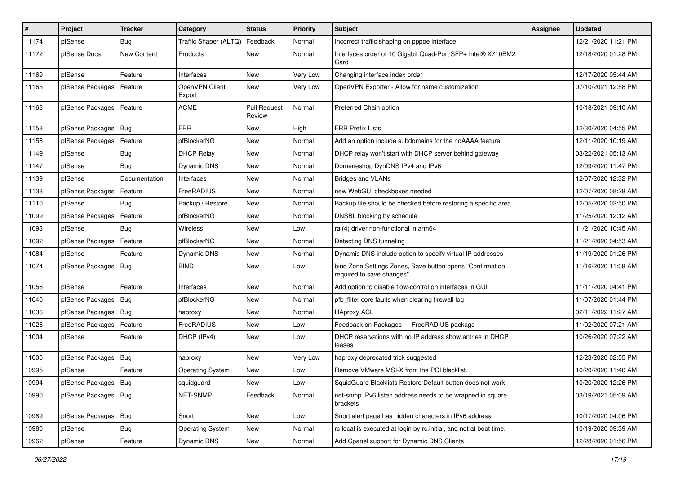| ∦     | Project                | <b>Tracker</b>     | Category                 | <b>Status</b>                 | <b>Priority</b> | <b>Subject</b>                                                                         | <b>Assignee</b> | <b>Updated</b>      |
|-------|------------------------|--------------------|--------------------------|-------------------------------|-----------------|----------------------------------------------------------------------------------------|-----------------|---------------------|
| 11174 | pfSense                | Bug                | Traffic Shaper (ALTQ)    | Feedback                      | Normal          | Incorrect traffic shaping on pppoe interface                                           |                 | 12/21/2020 11:21 PM |
| 11172 | pfSense Docs           | <b>New Content</b> | Products                 | New                           | Normal          | Interfaces order of 10 Gigabit Quad-Port SFP+ Intel® X710BM2<br>Card                   |                 | 12/18/2020 01:28 PM |
| 11169 | pfSense                | Feature            | Interfaces               | <b>New</b>                    | Very Low        | Changing interface index order                                                         |                 | 12/17/2020 05:44 AM |
| 11165 | pfSense Packages       | Feature            | OpenVPN Client<br>Export | <b>New</b>                    | Very Low        | OpenVPN Exporter - Allow for name customization                                        |                 | 07/10/2021 12:58 PM |
| 11163 | pfSense Packages       | Feature            | <b>ACME</b>              | <b>Pull Request</b><br>Review | Normal          | Preferred Chain option                                                                 |                 | 10/18/2021 09:10 AM |
| 11158 | pfSense Packages       | Bug                | <b>FRR</b>               | New                           | High            | <b>FRR Prefix Lists</b>                                                                |                 | 12/30/2020 04:55 PM |
| 11156 | pfSense Packages       | Feature            | pfBlockerNG              | New                           | Normal          | Add an option include subdomains for the noAAAA feature                                |                 | 12/11/2020 10:19 AM |
| 11149 | pfSense                | Bug                | <b>DHCP Relay</b>        | New                           | Normal          | DHCP relay won't start with DHCP server behind gateway                                 |                 | 03/22/2021 05:13 AM |
| 11147 | pfSense                | Bug                | <b>Dynamic DNS</b>       | New                           | Normal          | Domeneshop DynDNS IPv4 and IPv6                                                        |                 | 12/09/2020 11:47 PM |
| 11139 | pfSense                | Documentation      | Interfaces               | <b>New</b>                    | Normal          | <b>Bridges and VLANs</b>                                                               |                 | 12/07/2020 12:32 PM |
| 11138 | pfSense Packages       | Feature            | FreeRADIUS               | New                           | Normal          | new WebGUI checkboxes needed                                                           |                 | 12/07/2020 08:28 AM |
| 11110 | pfSense                | Bug                | Backup / Restore         | New                           | Normal          | Backup file should be checked before restoring a specific area                         |                 | 12/05/2020 02:50 PM |
| 11099 | pfSense Packages       | Feature            | pfBlockerNG              | <b>New</b>                    | Normal          | DNSBL blocking by schedule                                                             |                 | 11/25/2020 12:12 AM |
| 11093 | pfSense                | Bug                | Wireless                 | <b>New</b>                    | Low             | ral(4) driver non-functional in arm64                                                  |                 | 11/21/2020 10:45 AM |
| 11092 | pfSense Packages       | Feature            | pfBlockerNG              | <b>New</b>                    | Normal          | Detecting DNS tunneling                                                                |                 | 11/21/2020 04:53 AM |
| 11084 | pfSense                | Feature            | <b>Dynamic DNS</b>       | New                           | Normal          | Dynamic DNS include option to specify virtual IP addresses                             |                 | 11/19/2020 01:26 PM |
| 11074 | pfSense Packages   Bug |                    | <b>BIND</b>              | New                           | Low             | bind Zone Settings Zones, Save button opens "Confirmation<br>required to save changes" |                 | 11/16/2020 11:08 AM |
| 11056 | pfSense                | Feature            | Interfaces               | New                           | Normal          | Add option to disable flow-control on interfaces in GUI                                |                 | 11/11/2020 04:41 PM |
| 11040 | pfSense Packages       | Bug                | pfBlockerNG              | <b>New</b>                    | Normal          | pfb filter core faults when clearing firewall log                                      |                 | 11/07/2020 01:44 PM |
| 11036 | pfSense Packages       | Bug                | haproxy                  | New                           | Normal          | <b>HAproxy ACL</b>                                                                     |                 | 02/11/2022 11:27 AM |
| 11026 | pfSense Packages       | Feature            | FreeRADIUS               | New                           | Low             | Feedback on Packages - FreeRADIUS package                                              |                 | 11/02/2020 07:21 AM |
| 11004 | pfSense                | Feature            | DHCP (IPv4)              | <b>New</b>                    | Low             | DHCP reservations with no IP address show entries in DHCP<br>leases                    |                 | 10/26/2020 07:22 AM |
| 11000 | pfSense Packages       | Bug                | haproxy                  | New                           | Very Low        | haproxy deprecated trick suggested                                                     |                 | 12/23/2020 02:55 PM |
| 10995 | pfSense                | Feature            | <b>Operating System</b>  | <b>New</b>                    | Low             | Remove VMware MSI-X from the PCI blacklist.                                            |                 | 10/20/2020 11:40 AM |
| 10994 | pfSense Packages   Bug |                    | squidguard               | New                           | Low             | SquidGuard Blacklists Restore Default button does not work                             |                 | 10/20/2020 12:26 PM |
| 10990 | pfSense Packages   Bug |                    | NET-SNMP                 | Feedback                      | Normal          | net-snmp IPv6 listen address needs to be wrapped in square<br>brackets                 |                 | 03/19/2021 05:09 AM |
| 10989 | pfSense Packages   Bug |                    | Snort                    | New                           | Low             | Snort alert page has hidden characters in IPv6 address                                 |                 | 10/17/2020 04:06 PM |
| 10980 | pfSense                | <b>Bug</b>         | <b>Operating System</b>  | New                           | Normal          | rc.local is executed at login by rc.initial, and not at boot time.                     |                 | 10/19/2020 09:39 AM |
| 10962 | pfSense                | Feature            | <b>Dynamic DNS</b>       | New                           | Normal          | Add Cpanel support for Dynamic DNS Clients                                             |                 | 12/28/2020 01:56 PM |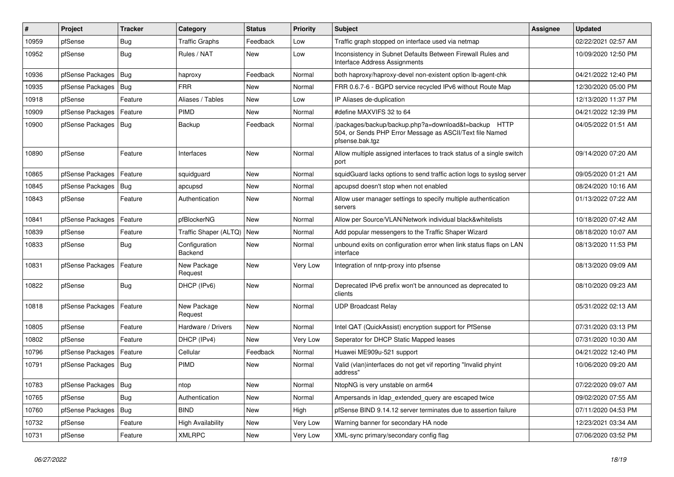| ∦     | Project          | <b>Tracker</b> | Category                 | <b>Status</b> | Priority | <b>Subject</b>                                                                                                                      | <b>Assignee</b> | <b>Updated</b>      |
|-------|------------------|----------------|--------------------------|---------------|----------|-------------------------------------------------------------------------------------------------------------------------------------|-----------------|---------------------|
| 10959 | pfSense          | <b>Bug</b>     | <b>Traffic Graphs</b>    | Feedback      | Low      | Traffic graph stopped on interface used via netmap                                                                                  |                 | 02/22/2021 02:57 AM |
| 10952 | pfSense          | Bug            | Rules / NAT              | <b>New</b>    | Low      | Inconsistency in Subnet Defaults Between Firewall Rules and<br>Interface Address Assignments                                        |                 | 10/09/2020 12:50 PM |
| 10936 | pfSense Packages | Bug            | haproxy                  | Feedback      | Normal   | both haproxy/haproxy-devel non-existent option lb-agent-chk                                                                         |                 | 04/21/2022 12:40 PM |
| 10935 | pfSense Packages | Bug            | <b>FRR</b>               | <b>New</b>    | Normal   | FRR 0.6.7-6 - BGPD service recycled IPv6 without Route Map                                                                          |                 | 12/30/2020 05:00 PM |
| 10918 | pfSense          | Feature        | Aliases / Tables         | <b>New</b>    | Low      | IP Aliases de-duplication                                                                                                           |                 | 12/13/2020 11:37 PM |
| 10909 | pfSense Packages | Feature        | <b>PIMD</b>              | New           | Normal   | #define MAXVIFS 32 to 64                                                                                                            |                 | 04/21/2022 12:39 PM |
| 10900 | pfSense Packages | Bug            | Backup                   | Feedback      | Normal   | /packages/backup/backup.php?a=download&t=backup HTTP<br>504, or Sends PHP Error Message as ASCII/Text file Named<br>pfsense.bak.tgz |                 | 04/05/2022 01:51 AM |
| 10890 | pfSense          | Feature        | Interfaces               | <b>New</b>    | Normal   | Allow multiple assigned interfaces to track status of a single switch<br>port                                                       |                 | 09/14/2020 07:20 AM |
| 10865 | pfSense Packages | Feature        | squidguard               | New           | Normal   | squidGuard lacks options to send traffic action logs to syslog server                                                               |                 | 09/05/2020 01:21 AM |
| 10845 | pfSense Packages | Bug            | apcupsd                  | <b>New</b>    | Normal   | apcupsd doesn't stop when not enabled                                                                                               |                 | 08/24/2020 10:16 AM |
| 10843 | pfSense          | Feature        | Authentication           | <b>New</b>    | Normal   | Allow user manager settings to specify multiple authentication<br>servers                                                           |                 | 01/13/2022 07:22 AM |
| 10841 | pfSense Packages | Feature        | pfBlockerNG              | <b>New</b>    | Normal   | Allow per Source/VLAN/Network individual black&whitelists                                                                           |                 | 10/18/2020 07:42 AM |
| 10839 | pfSense          | Feature        | Traffic Shaper (ALTQ)    | <b>New</b>    | Normal   | Add popular messengers to the Traffic Shaper Wizard                                                                                 |                 | 08/18/2020 10:07 AM |
| 10833 | pfSense          | Bug            | Configuration<br>Backend | New           | Normal   | unbound exits on configuration error when link status flaps on LAN<br>interface                                                     |                 | 08/13/2020 11:53 PM |
| 10831 | pfSense Packages | Feature        | New Package<br>Request   | New           | Very Low | Integration of nntp-proxy into pfsense                                                                                              |                 | 08/13/2020 09:09 AM |
| 10822 | pfSense          | Bug            | DHCP (IPv6)              | New           | Normal   | Deprecated IPv6 prefix won't be announced as deprecated to<br>clients                                                               |                 | 08/10/2020 09:23 AM |
| 10818 | pfSense Packages | Feature        | New Package<br>Request   | <b>New</b>    | Normal   | <b>UDP Broadcast Relay</b>                                                                                                          |                 | 05/31/2022 02:13 AM |
| 10805 | pfSense          | Feature        | Hardware / Drivers       | New           | Normal   | Intel QAT (QuickAssist) encryption support for PfSense                                                                              |                 | 07/31/2020 03:13 PM |
| 10802 | pfSense          | Feature        | DHCP (IPv4)              | New           | Very Low | Seperator for DHCP Static Mapped leases                                                                                             |                 | 07/31/2020 10:30 AM |
| 10796 | pfSense Packages | Feature        | Cellular                 | Feedback      | Normal   | Huawei ME909u-521 support                                                                                                           |                 | 04/21/2022 12:40 PM |
| 10791 | pfSense Packages | Bug            | <b>PIMD</b>              | New           | Normal   | Valid (vlan)interfaces do not get vif reporting "Invalid phyint<br>address"                                                         |                 | 10/06/2020 09:20 AM |
| 10783 | pfSense Packages | Bug            | ntop                     | <b>New</b>    | Normal   | NtopNG is very unstable on arm64                                                                                                    |                 | 07/22/2020 09:07 AM |
| 10765 | pfSense          | Bug            | Authentication           | <b>New</b>    | Normal   | Ampersands in Idap extended query are escaped twice                                                                                 |                 | 09/02/2020 07:55 AM |
| 10760 | pfSense Packages | Bug            | <b>BIND</b>              | New           | High     | pfSense BIND 9.14.12 server terminates due to assertion failure                                                                     |                 | 07/11/2020 04:53 PM |
| 10732 | pfSense          | Feature        | <b>High Availability</b> | New           | Very Low | Warning banner for secondary HA node                                                                                                |                 | 12/23/2021 03:34 AM |
| 10731 | pfSense          | Feature        | <b>XMLRPC</b>            | New           | Very Low | XML-sync primary/secondary config flag                                                                                              |                 | 07/06/2020 03:52 PM |